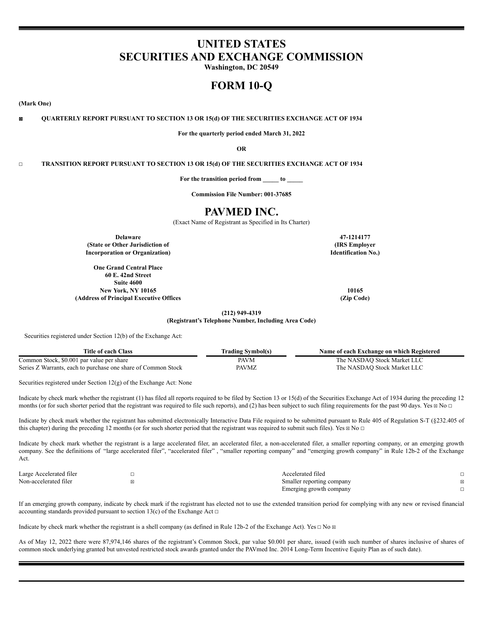# **UNITED STATES SECURITIES AND EXCHANGE COMMISSION**

**Washington, DC 20549**

# **FORM 10-Q**

**(Mark One)**

☒ **QUARTERLY REPORT PURSUANT TO SECTION 13 OR 15(d) OF THE SECURITIES EXCHANGE ACT OF 1934**

**For the quarterly period ended March 31, 2022**

**OR**

☐ **TRANSITION REPORT PURSUANT TO SECTION 13 OR 15(d) OF THE SECURITIES EXCHANGE ACT OF 1934**

**For the transition period from \_\_\_\_\_ to \_\_\_\_\_**

**Commission File Number: 001-37685**

# **PAVMED INC.**

(Exact Name of Registrant as Specified in Its Charter)

**Delaware 47-1214177 (State or Other Jurisdiction of Incorporation or Organization) Identification No.)**

**One Grand Central Place 60 E. 42nd Street Suite 4600 New York, NY 10165 10165 (Address of Principal Executive Offices (Zip Code)**

**(212) 949-4319 (Registrant's Telephone Number, Including Area Code)**

Securities registered under Section 12(b) of the Exchange Act:

| <b>Title of each Class</b>                                    | [rading Symbol(s) | Name of each Exchange on which Registered |
|---------------------------------------------------------------|-------------------|-------------------------------------------|
| Common Stock, \$0.001 par value per share                     | PAVM              | The NASDAO Stock Market LLC               |
| Series Z Warrants, each to purchase one share of Common Stock | PAVMZ             | The NASDAO Stock Market LLC               |

Securities registered under Section 12(g) of the Exchange Act: None

Indicate by check mark whether the registrant (1) has filed all reports required to be filed by Section 13 or 15(d) of the Securities Exchange Act of 1934 during the preceding 12 months (or for such shorter period that the registrant was required to file such reports), and (2) has been subject to such filing requirements for the past 90 days. Yes  $\boxtimes$  No  $\Box$ 

Indicate by check mark whether the registrant has submitted electronically Interactive Data File required to be submitted pursuant to Rule 405 of Regulation S-T (§232.405 of this chapter) during the preceding 12 months (or for such shorter period that the registrant was required to submit such files). Yes  $\boxtimes$  No  $\Box$ 

Indicate by check mark whether the registrant is a large accelerated filer, an accelerated filer, a non-accelerated filer, a smaller reporting company, or an emerging growth company. See the definitions of "large accelerated filer", "accelerated filer" , "smaller reporting company" and "emerging growth company" in Rule 12b-2 of the Exchange Act.

| Large Accelerated filer | Accelerated filed         |  |
|-------------------------|---------------------------|--|
| Non-accelerated filer   | Smaller reporting company |  |
|                         | Emerging growth company   |  |

If an emerging growth company, indicate by check mark if the registrant has elected not to use the extended transition period for complying with any new or revised financial accounting standards provided pursuant to section 13(c) of the Exchange Act  $□$ 

Indicate by check mark whether the registrant is a shell company (as defined in Rule 12b-2 of the Exchange Act). Yes  $\Box$  No  $\Box$ 

As of May 12, 2022 there were 87,974,146 shares of the registrant's Common Stock, par value \$0.001 per share, issued (with such number of shares inclusive of shares of common stock underlying granted but unvested restricted stock awards granted under the PAVmed Inc. 2014 Long-Term Incentive Equity Plan as of such date).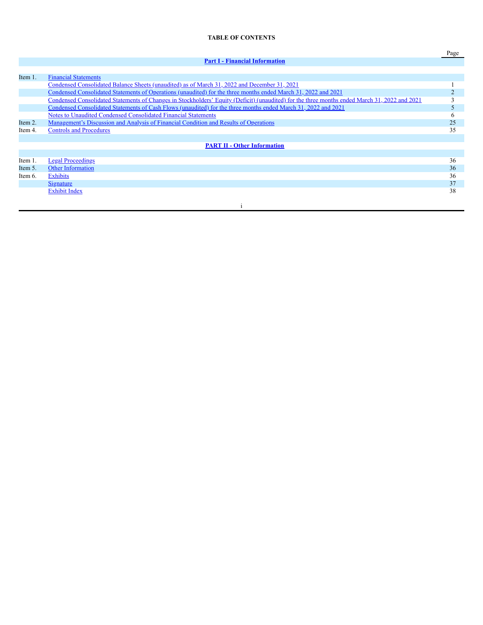### **TABLE OF CONTENTS**

# **Part I - Financial [Information](#page-2-0)**

| Item 1. | <b>Financial Statements</b>                                                                                                                   |    |
|---------|-----------------------------------------------------------------------------------------------------------------------------------------------|----|
|         | Condensed Consolidated Balance Sheets (unaudited) as of March 31, 2022 and December 31, 2021                                                  |    |
|         | Condensed Consolidated Statements of Operations (unaudited) for the three months ended March 31, 2022 and 2021                                |    |
|         | Condensed Consolidated Statements of Changes in Stockholders' Equity (Deficit) (unaudited) for the three months ended March 31, 2022 and 2021 |    |
|         | Condensed Consolidated Statements of Cash Flows (unaudited) for the three months ended March 31, 2022 and 2021                                |    |
|         | Notes to Unaudited Condensed Consolidated Financial Statements                                                                                | n  |
| Item 2. | Management's Discussion and Analysis of Financial Condition and Results of Operations                                                         | 25 |
| Item 4. | <b>Controls and Procedures</b>                                                                                                                | 35 |
|         |                                                                                                                                               |    |
|         | <b>PART II - Other Information</b>                                                                                                            |    |
|         |                                                                                                                                               |    |
| Item 1. | <b>Legal Proceedings</b>                                                                                                                      | 36 |
| Item 5. | <b>Other Information</b>                                                                                                                      | 36 |
| Item 6. | <b>Exhibits</b>                                                                                                                               | 36 |
|         | <b>Signature</b>                                                                                                                              | 37 |
|         | <b>Exhibit Index</b>                                                                                                                          | 38 |

i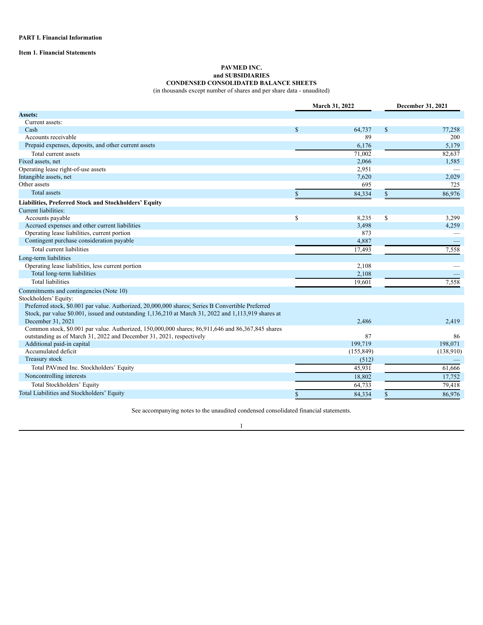## <span id="page-2-2"></span><span id="page-2-1"></span><span id="page-2-0"></span>**Item 1. Financial Statements**

### **PAVMED INC. and SUBSIDIARIES CONDENSED CONSOLIDATED BALANCE SHEETS**

(in thousands except number of shares and per share data - unaudited)

|                                                                                                      |             | March 31, 2022 |               | December 31, 2021 |
|------------------------------------------------------------------------------------------------------|-------------|----------------|---------------|-------------------|
| <b>Assets:</b>                                                                                       |             |                |               |                   |
| Current assets:                                                                                      |             |                |               |                   |
| Cash                                                                                                 | $\mathbf S$ | 64.737         | $\mathcal{S}$ | 77.258            |
| Accounts receivable                                                                                  |             | 89             |               | 200               |
| Prepaid expenses, deposits, and other current assets                                                 |             | 6,176          |               | 5,179             |
| Total current assets                                                                                 |             | 71.002         |               | 82,637            |
| Fixed assets, net                                                                                    |             | 2,066          |               | 1,585             |
| Operating lease right-of-use assets                                                                  |             | 2,951          |               |                   |
| Intangible assets, net                                                                               |             | 7,620          |               | 2,029             |
| Other assets                                                                                         |             | 695            |               | 725               |
| <b>Total assets</b>                                                                                  |             | 84,334         | $\mathbb{S}$  | 86,976            |
| Liabilities, Preferred Stock and Stockholders' Equity                                                |             |                |               |                   |
| Current liabilities:                                                                                 |             |                |               |                   |
| Accounts payable                                                                                     | \$          | 8,235          | \$            | 3,299             |
| Accrued expenses and other current liabilities                                                       |             | 3,498          |               | 4,259             |
| Operating lease liabilities, current portion                                                         |             | 873            |               |                   |
| Contingent purchase consideration payable                                                            |             | 4,887          |               |                   |
| Total current liabilities                                                                            |             | 17,493         |               | 7,558             |
| Long-term liabilities                                                                                |             |                |               |                   |
| Operating lease liabilities, less current portion                                                    |             | 2,108          |               |                   |
| Total long-term liabilities                                                                          |             | 2.108          |               |                   |
| <b>Total liabilities</b>                                                                             |             | 19.601         |               | 7,558             |
| Commitments and contingencies (Note 10)                                                              |             |                |               |                   |
| Stockholders' Equity:                                                                                |             |                |               |                   |
| Preferred stock, \$0.001 par value. Authorized, 20,000,000 shares; Series B Convertible Preferred    |             |                |               |                   |
| Stock, par value \$0,001, issued and outstanding 1,136,210 at March 31, 2022 and 1,113,919 shares at |             |                |               |                   |
| December 31, 2021                                                                                    |             | 2,486          |               | 2,419             |
| Common stock, \$0.001 par value. Authorized, 150,000,000 shares; 86,911,646 and 86,367,845 shares    |             |                |               |                   |
| outstanding as of March 31, 2022 and December 31, 2021, respectively                                 |             | 87             |               | 86                |
| Additional paid-in capital                                                                           |             | 199,719        |               | 198,071           |
| Accumulated deficit                                                                                  |             | (155, 849)     |               | (138,910)         |
| Treasury stock                                                                                       |             | (512)          |               |                   |
| Total PAVmed Inc. Stockholders' Equity                                                               |             | 45,931         |               | 61.666            |
| Noncontrolling interests                                                                             |             | 18,802         |               | 17,752            |
| Total Stockholders' Equity                                                                           |             | 64,733         |               | 79,418            |
| Total Liabilities and Stockholders' Equity                                                           | $\mathbf S$ | 84,334         | $\mathbf S$   | 86,976            |

See accompanying notes to the unaudited condensed consolidated financial statements.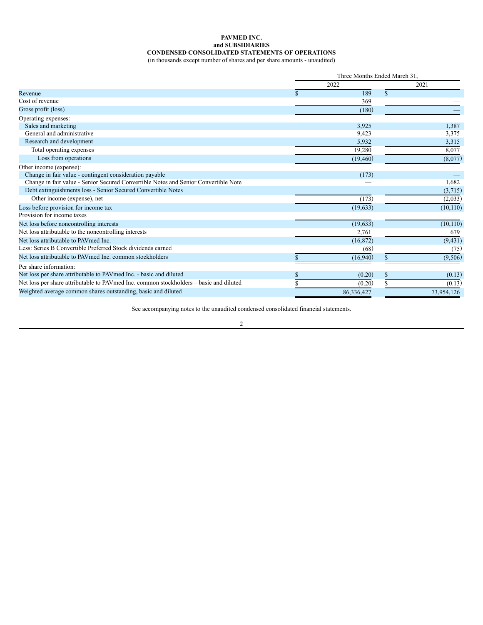### **PAVMED INC. and SUBSIDIARIES CONDENSED CONSOLIDATED STATEMENTS OF OPERATIONS**

(in thousands except number of shares and per share amounts - unaudited)

<span id="page-3-0"></span>

|                                                                                         | Three Months Ended March 31. |    |            |
|-----------------------------------------------------------------------------------------|------------------------------|----|------------|
|                                                                                         | 2022                         |    | 2021       |
| Revenue                                                                                 | 189                          | \$ |            |
| Cost of revenue                                                                         | 369                          |    |            |
| Gross profit (loss)                                                                     | (180)                        |    |            |
| Operating expenses:                                                                     |                              |    |            |
| Sales and marketing                                                                     | 3,925                        |    | 1,387      |
| General and administrative                                                              | 9,423                        |    | 3,375      |
| Research and development                                                                | 5,932                        |    | 3,315      |
| Total operating expenses                                                                | 19,280                       |    | 8,077      |
| Loss from operations                                                                    | (19,460)                     |    | (8,077)    |
| Other income (expense):                                                                 |                              |    |            |
| Change in fair value - contingent consideration payable                                 | (173)                        |    |            |
| Change in fair value - Senior Secured Convertible Notes and Senior Convertible Note     |                              |    | 1,682      |
| Debt extinguishments loss - Senior Secured Convertible Notes                            |                              |    | (3,715)    |
| Other income (expense), net                                                             | (173)                        |    | (2,033)    |
| Loss before provision for income tax                                                    | (19, 633)                    |    | (10, 110)  |
| Provision for income taxes                                                              |                              |    |            |
| Net loss before noncontrolling interests                                                | (19, 633)                    |    | (10, 110)  |
| Net loss attributable to the noncontrolling interests                                   | 2,761                        |    | 679        |
| Net loss attributable to PAVmed Inc.                                                    | (16, 872)                    |    | (9, 431)   |
| Less: Series B Convertible Preferred Stock dividends earned                             | (68)                         |    | (75)       |
| Net loss attributable to PAV med Inc. common stockholders                               | (16,940)                     | S. | (9,506)    |
| Per share information:                                                                  |                              |    |            |
| Net loss per share attributable to PAV med Inc. - basic and diluted                     | (0.20)                       | \$ | (0.13)     |
| Net loss per share attributable to PAV med Inc. common stockholders – basic and diluted | (0.20)                       |    | (0.13)     |
| Weighted average common shares outstanding, basic and diluted                           | 86,336,427                   |    | 73,954,126 |

See accompanying notes to the unaudited condensed consolidated financial statements.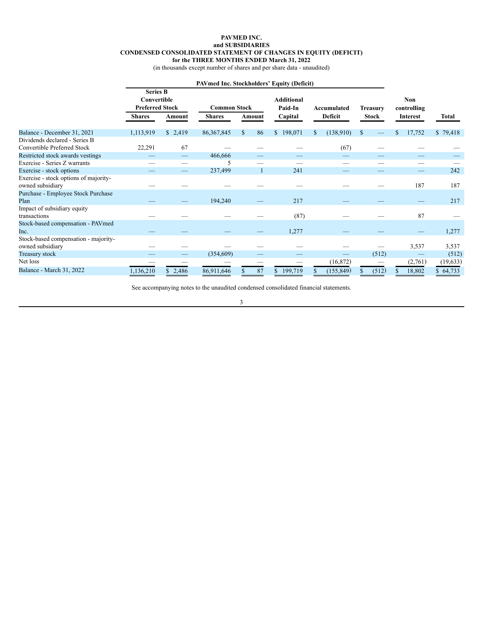### **PAVMED INC. and SUBSIDIARIES CONDENSED CONSOLIDATED STATEMENT OF CHANGES IN EQUITY (DEFICIT) for the THREE MONTHS ENDED March 31, 2022**

(in thousands except number of shares and per share data - unaudited)

<span id="page-4-0"></span>

|                                                          | PAVmed Inc. Stockholders' Equity (Deficit)                                |         |                                                                                                          |  |         |                                 |  |                                       |     |       |    |         |           |
|----------------------------------------------------------|---------------------------------------------------------------------------|---------|----------------------------------------------------------------------------------------------------------|--|---------|---------------------------------|--|---------------------------------------|-----|-------|----|---------|-----------|
|                                                          | <b>Series B</b><br>Convertible<br><b>Preferred Stock</b><br><b>Shares</b> | Amount  | <b>Additional</b><br><b>Common Stock</b><br>Paid-In<br>Accumulated<br><b>Shares</b><br>Capital<br>Amount |  | Deficit | <b>Treasury</b><br><b>Stock</b> |  | <b>Non</b><br>controlling<br>Interest |     | Total |    |         |           |
|                                                          |                                                                           |         |                                                                                                          |  |         |                                 |  |                                       |     |       |    |         |           |
| Balance - December 31, 2021                              | 1,113,919                                                                 | \$2,419 | 86, 367, 845                                                                                             |  | 86      | 198,071<br>\$                   |  | (138,910)                             | \$. |       | S. | 17,752  | \$79,418  |
| Dividends declared - Series B                            |                                                                           |         |                                                                                                          |  |         |                                 |  |                                       |     |       |    |         |           |
| Convertible Preferred Stock                              | 22,291                                                                    | 67      |                                                                                                          |  |         |                                 |  | (67)                                  |     |       |    |         |           |
| Restricted stock awards vestings                         |                                                                           |         | 466,666                                                                                                  |  |         |                                 |  |                                       |     |       |    |         |           |
| Exercise - Series Z warrants                             |                                                                           |         | 5                                                                                                        |  |         |                                 |  |                                       |     |       |    |         |           |
| Exercise - stock options                                 |                                                                           |         | 237,499                                                                                                  |  |         | 241                             |  |                                       |     |       |    |         | 242       |
| Exercise - stock options of majority-                    |                                                                           |         |                                                                                                          |  |         |                                 |  |                                       |     |       |    |         |           |
| owned subsidiary                                         |                                                                           |         |                                                                                                          |  |         |                                 |  |                                       |     |       |    | 187     | 187       |
| Purchase - Employee Stock Purchase                       |                                                                           |         |                                                                                                          |  |         |                                 |  |                                       |     |       |    |         |           |
| Plan                                                     |                                                                           |         | 194,240                                                                                                  |  |         | 217                             |  |                                       |     |       |    |         | 217       |
| Impact of subsidiary equity<br>transactions              |                                                                           |         |                                                                                                          |  |         | (87)                            |  |                                       |     |       |    | 87      |           |
| Stock-based compensation - PAVmed                        |                                                                           |         |                                                                                                          |  |         |                                 |  |                                       |     |       |    |         |           |
| Inc.                                                     |                                                                           |         |                                                                                                          |  |         | 1,277                           |  |                                       |     |       |    |         | 1,277     |
| Stock-based compensation - majority-<br>owned subsidiary |                                                                           |         |                                                                                                          |  |         |                                 |  |                                       |     |       |    | 3,537   | 3,537     |
| Treasury stock                                           |                                                                           |         | (354,609)                                                                                                |  |         |                                 |  |                                       |     | (512) |    |         | (512)     |
| Net loss                                                 |                                                                           |         |                                                                                                          |  |         |                                 |  | (16, 872)                             |     |       |    | (2,761) | (19, 633) |
| Balance - March 31, 2022                                 | 1,136,210                                                                 | \$2,486 | 86,911,646                                                                                               |  | 87      | 199,719                         |  | (155,849)                             |     | (512) |    | 18,802  | \$64,733  |

See accompanying notes to the unaudited condensed consolidated financial statements.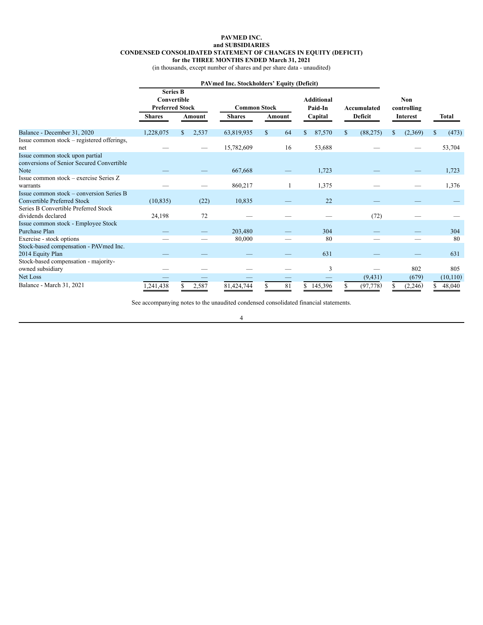### **PAVMED INC. and SUBSIDIARIES CONDENSED CONSOLIDATED STATEMENT OF CHANGES IN EQUITY (DEFICIT) for the THREE MONTHS ENDED March 31, 2021**

(in thousands, except number of shares and per share data - unaudited)

|                                                                              |                                                          |                        | <b>PAVmed Inc. Stockholders' Equity (Deficit)</b> |           |                              |                           |                           |             |
|------------------------------------------------------------------------------|----------------------------------------------------------|------------------------|---------------------------------------------------|-----------|------------------------------|---------------------------|---------------------------|-------------|
|                                                                              | <b>Series B</b><br>Convertible<br><b>Preferred Stock</b> |                        | <b>Common Stock</b>                               |           | <b>Additional</b><br>Paid-In | Accumulated               | <b>Non</b><br>controlling |             |
|                                                                              | <b>Shares</b>                                            | Amount                 | <b>Shares</b>                                     | Amount    | Capital                      | Deficit                   | Interest                  | Total       |
| Balance - December 31, 2020                                                  | 1,228,075                                                | 2,537<br><sup>\$</sup> | 63,819,935                                        | \$.<br>64 | 87,570<br>\$                 | (88, 275)<br><sup>S</sup> | (2,369)<br>S.             | (473)<br>S. |
| Issue common stock – registered offerings,                                   |                                                          |                        |                                                   |           |                              |                           |                           |             |
| net                                                                          |                                                          |                        | 15,782,609                                        | 16        | 53,688                       |                           |                           | 53,704      |
| Issue common stock upon partial<br>conversions of Senior Secured Convertible |                                                          |                        |                                                   |           |                              |                           |                           |             |
| Note                                                                         |                                                          |                        | 667,668                                           |           | 1,723                        |                           |                           | 1,723       |
| Issue common stock – exercise Series Z                                       |                                                          |                        |                                                   |           |                              |                           |                           |             |
| warrants                                                                     |                                                          |                        | 860,217                                           |           | 1,375                        |                           |                           | 1,376       |
| Issue common stock – conversion Series B                                     |                                                          |                        |                                                   |           |                              |                           |                           |             |
| <b>Convertible Preferred Stock</b>                                           | (10, 835)                                                | (22)                   | 10,835                                            |           | 22                           |                           |                           |             |
| Series B Convertible Preferred Stock<br>dividends declared                   | 24,198                                                   | 72                     |                                                   |           |                              | (72)                      |                           |             |
| Issue common stock - Employee Stock                                          |                                                          |                        |                                                   |           |                              |                           |                           |             |
| Purchase Plan                                                                |                                                          |                        | 203,480                                           |           | 304                          |                           |                           | 304         |
| Exercise - stock options                                                     |                                                          |                        | 80,000                                            |           | 80                           |                           |                           | 80          |
| Stock-based compensation - PAVmed Inc.<br>2014 Equity Plan                   |                                                          |                        |                                                   |           | 631                          |                           |                           | 631         |
| Stock-based compensation - majority-                                         |                                                          |                        |                                                   |           |                              |                           |                           |             |
| owned subsidiary                                                             |                                                          |                        |                                                   |           | 3                            |                           | 802                       | 805         |
| Net Loss                                                                     |                                                          |                        |                                                   |           |                              | (9, 431)                  | (679)                     | (10, 110)   |
| Balance - March 31, 2021                                                     | 1,241,438                                                | 2,587                  | 81,424,744                                        | 81        | 145,396<br>S.                | (97, 778)                 | (2,246)                   | 48,040      |

See accompanying notes to the unaudited condensed consolidated financial statements.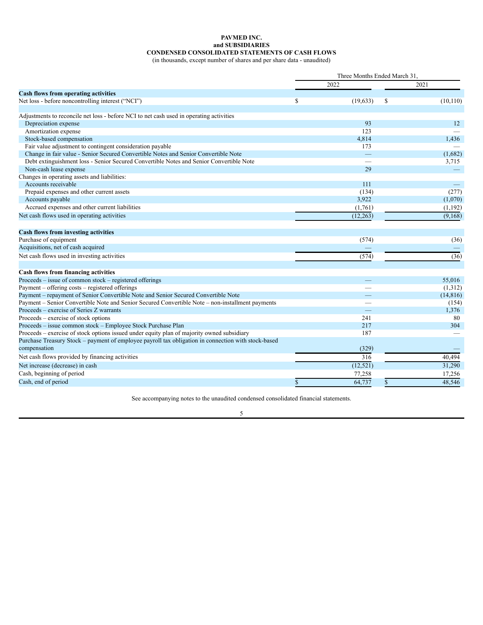### **PAVMED INC. and SUBSIDIARIES CONDENSED CONSOLIDATED STATEMENTS OF CASH FLOWS**

(in thousands, except number of shares and per share data - unaudited)

<span id="page-6-0"></span>

|                                                                                                     |    | Three Months Ended March 31 |               |           |
|-----------------------------------------------------------------------------------------------------|----|-----------------------------|---------------|-----------|
|                                                                                                     |    | 2022                        |               | 2021      |
| <b>Cash flows from operating activities</b>                                                         |    |                             |               |           |
| Net loss - before noncontrolling interest ("NCI")                                                   | S  | (19, 633)                   | <sup>\$</sup> | (10, 110) |
| Adjustments to reconcile net loss - before NCI to net cash used in operating activities             |    |                             |               |           |
| Depreciation expense                                                                                |    | 93                          |               | 12        |
| Amortization expense                                                                                |    | 123                         |               |           |
| Stock-based compensation                                                                            |    | 4,814                       |               | 1,436     |
| Fair value adjustment to contingent consideration payable                                           |    | 173                         |               |           |
| Change in fair value - Senior Secured Convertible Notes and Senior Convertible Note                 |    |                             |               | (1,682)   |
| Debt extinguishment loss - Senior Secured Convertible Notes and Senior Convertible Note             |    |                             |               | 3,715     |
| Non-cash lease expense                                                                              |    | 29                          |               |           |
| Changes in operating assets and liabilities:                                                        |    |                             |               |           |
| Accounts receivable                                                                                 |    | 111                         |               |           |
| Prepaid expenses and other current assets                                                           |    | (134)                       |               | (277)     |
| Accounts payable                                                                                    |    | 3,922                       |               | (1,070)   |
| Accrued expenses and other current liabilities                                                      |    | (1,761)                     |               | (1,192)   |
| Net cash flows used in operating activities                                                         |    | (12, 263)                   |               | (9,168)   |
| <b>Cash flows from investing activities</b>                                                         |    |                             |               |           |
| Purchase of equipment                                                                               |    | (574)                       |               | (36)      |
| Acquisitions, net of cash acquired                                                                  |    |                             |               |           |
| Net cash flows used in investing activities                                                         |    | (574)                       |               | (36)      |
|                                                                                                     |    |                             |               |           |
| Cash flows from financing activities                                                                |    |                             |               |           |
| Proceeds – issue of common stock – registered offerings                                             |    |                             |               | 55,016    |
| Payment – offering costs – registered offerings                                                     |    |                             |               | (1,312)   |
| Payment - repayment of Senior Convertible Note and Senior Secured Convertible Note                  |    |                             |               | (14, 816) |
| Payment – Senior Convertible Note and Senior Secured Convertible Note – non-installment payments    |    |                             |               | (154)     |
| Proceeds – exercise of Series Z warrants                                                            |    |                             |               | 1,376     |
| Proceeds – exercise of stock options                                                                |    | 241                         |               | 80        |
| Proceeds - issue common stock - Employee Stock Purchase Plan                                        |    | 217                         |               | 304       |
| Proceeds – exercise of stock options issued under equity plan of majority owned subsidiary          |    | 187                         |               |           |
| Purchase Treasury Stock – payment of employee payroll tax obligation in connection with stock-based |    |                             |               |           |
| compensation                                                                                        |    | (329)                       |               |           |
| Net cash flows provided by financing activities                                                     |    | 316                         |               | 40,494    |
| Net increase (decrease) in cash                                                                     |    | (12, 521)                   |               | 31,290    |
| Cash, beginning of period                                                                           |    | 77,258                      |               | 17,256    |
| Cash, end of period                                                                                 | \$ | 64,737                      | $\mathbf S$   | 48,546    |

See accompanying notes to the unaudited condensed consolidated financial statements.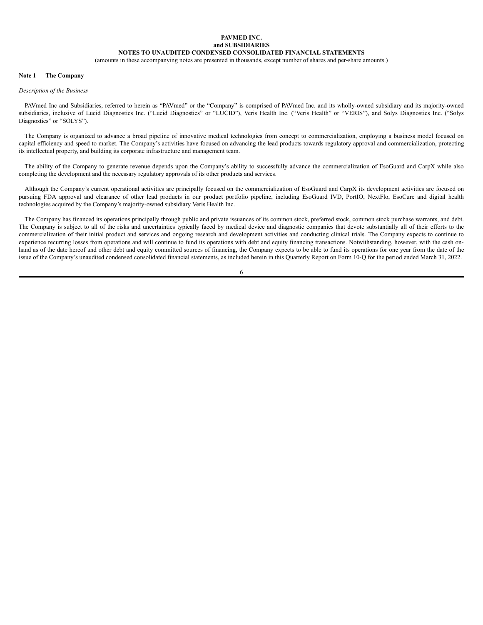### **PAVMED INC. and SUBSIDIARIES NOTES TO UNAUDITED CONDENSED CONSOLIDATED FINANCIAL STATEMENTS**

(amounts in these accompanying notes are presented in thousands, except number of shares and per-share amounts.)

### <span id="page-7-0"></span>**Note 1 — The Company**

### *Description of the Business*

PAVmed Inc and Subsidiaries, referred to herein as "PAVmed" or the "Company" is comprised of PAVmed Inc. and its wholly-owned subsidiary and its majority-owned subsidiaries, inclusive of Lucid Diagnostics Inc. ("Lucid Diagnostics" or "LUCID"), Veris Health Inc. ("Veris Health" or "VERIS"), and Solys Diagnostics Inc. ("Solys Diagnostics" or "SOLYS").

The Company is organized to advance a broad pipeline of innovative medical technologies from concept to commercialization, employing a business model focused on capital efficiency and speed to market. The Company's activities have focused on advancing the lead products towards regulatory approval and commercialization, protecting its intellectual property, and building its corporate infrastructure and management team.

The ability of the Company to generate revenue depends upon the Company's ability to successfully advance the commercialization of EsoGuard and CarpX while also completing the development and the necessary regulatory approvals of its other products and services.

Although the Company's current operational activities are principally focused on the commercialization of EsoGuard and CarpX its development activities are focused on pursuing FDA approval and clearance of other lead products in our product portfolio pipeline, including EsoGuard IVD, PortIO, NextFlo, EsoCure and digital health technologies acquired by the Company's majority-owned subsidiary Veris Health Inc.

The Company has financed its operations principally through public and private issuances of its common stock, preferred stock, common stock purchase warrants, and debt. The Company is subject to all of the risks and uncertainties typically faced by medical device and diagnostic companies that devote substantially all of their efforts to the commercialization of their initial product and services and ongoing research and development activities and conducting clinical trials. The Company expects to continue to experience recurring losses from operations and will continue to fund its operations with debt and equity financing transactions. Notwithstanding, however, with the cash onhand as of the date hereof and other debt and equity committed sources of financing, the Company expects to be able to fund its operations for one year from the date of the issue of the Company's unaudited condensed consolidated financial statements, as included herein in this Quarterly Report on Form 10-Q for the period ended March 31, 2022.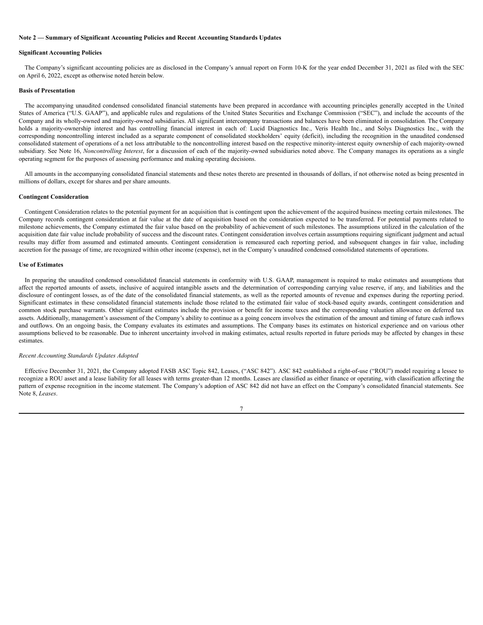### **Note 2 — Summary of Significant Accounting Policies and Recent Accounting Standards Updates**

#### **Significant Accounting Policies**

The Company's significant accounting policies are as disclosed in the Company's annual report on Form 10-K for the year ended December 31, 2021 as filed with the SEC on April 6, 2022, except as otherwise noted herein below.

#### **Basis of Presentation**

The accompanying unaudited condensed consolidated financial statements have been prepared in accordance with accounting principles generally accepted in the United States of America ("U.S. GAAP"), and applicable rules and regulations of the United States Securities and Exchange Commission ("SEC"), and include the accounts of the Company and its wholly-owned and majority-owned subsidiaries. All significant intercompany transactions and balances have been eliminated in consolidation. The Company holds a majority-ownership interest and has controlling financial interest in each of: Lucid Diagnostics Inc., Veris Health Inc., and Solys Diagnostics Inc., with the corresponding noncontrolling interest included as a separate component of consolidated stockholders' equity (deficit), including the recognition in the unaudited condensed consolidated statement of operations of a net loss attributable to the noncontrolling interest based on the respective minority-interest equity ownership of each majority-owned subsidiary. See Note 16, *Noncontrolling Interest*, for a discussion of each of the majority-owned subsidiaries noted above. The Company manages its operations as a single operating segment for the purposes of assessing performance and making operating decisions.

All amounts in the accompanying consolidated financial statements and these notes thereto are presented in thousands of dollars, if not otherwise noted as being presented in millions of dollars, except for shares and per share amounts.

#### **Contingent Consideration**

Contingent Consideration relates to the potential payment for an acquisition that is contingent upon the achievement of the acquired business meeting certain milestones. The Company records contingent consideration at fair value at the date of acquisition based on the consideration expected to be transferred. For potential payments related to milestone achievements, the Company estimated the fair value based on the probability of achievement of such milestones. The assumptions utilized in the calculation of the acquisition date fair value include probability of success and the discount rates. Contingent consideration involves certain assumptions requiring significant judgment and actual results may differ from assumed and estimated amounts. Contingent consideration is remeasured each reporting period, and subsequent changes in fair value, including accretion for the passage of time, are recognized within other income (expense), net in the Company's unaudited condensed consolidated statements of operations.

### **Use of Estimates**

In preparing the unaudited condensed consolidated financial statements in conformity with U.S. GAAP, management is required to make estimates and assumptions that affect the reported amounts of assets, inclusive of acquired intangible assets and the determination of corresponding carrying value reserve, if any, and liabilities and the disclosure of contingent losses, as of the date of the consolidated financial statements, as well as the reported amounts of revenue and expenses during the reporting period. Significant estimates in these consolidated financial statements include those related to the estimated fair value of stock-based equity awards, contingent consideration and common stock purchase warrants. Other significant estimates include the provision or benefit for income taxes and the corresponding valuation allowance on deferred tax assets. Additionally, management's assessment of the Company's ability to continue as a going concern involves the estimation of the amount and timing of future cash inflows and outflows. On an ongoing basis, the Company evaluates its estimates and assumptions. The Company bases its estimates on historical experience and on various other assumptions believed to be reasonable. Due to inherent uncertainty involved in making estimates, actual results reported in future periods may be affected by changes in these estimates.

### *Recent Accounting Standards Updates Adopted*

Effective December 31, 2021, the Company adopted FASB ASC Topic 842, Leases, ("ASC 842"). ASC 842 established a right-of-use ("ROU") model requiring a lessee to recognize a ROU asset and a lease liability for all leases with terms greater-than 12 months. Leases are classified as either finance or operating, with classification affecting the pattern of expense recognition in the income statement. The Company's adoption of ASC 842 did not have an effect on the Company's consolidated financial statements. See Note 8, *Leases*.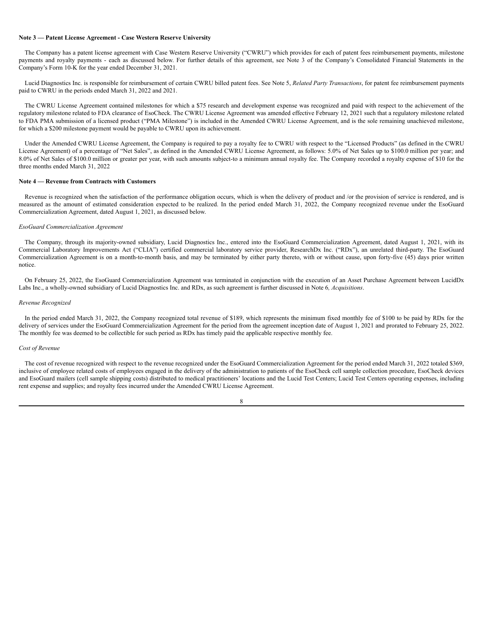### **Note 3 — Patent License Agreement - Case Western Reserve University**

The Company has a patent license agreement with Case Western Reserve University ("CWRU") which provides for each of patent fees reimbursement payments, milestone payments and royalty payments - each as discussed below. For further details of this agreement, see Note 3 of the Company's Consolidated Financial Statements in the Company's Form 10-K for the year ended December 31, 2021.

Lucid Diagnostics Inc. is responsible for reimbursement of certain CWRU billed patent fees. See Note 5, *Related Party Transactions*, for patent fee reimbursement payments paid to CWRU in the periods ended March 31, 2022 and 2021.

The CWRU License Agreement contained milestones for which a \$75 research and development expense was recognized and paid with respect to the achievement of the regulatory milestone related to FDA clearance of EsoCheck. The CWRU License Agreement was amended effective February 12, 2021 such that a regulatory milestone related to FDA PMA submission of a licensed product ("PMA Milestone") is included in the Amended CWRU License Agreement, and is the sole remaining unachieved milestone, for which a \$200 milestone payment would be payable to CWRU upon its achievement.

Under the Amended CWRU License Agreement, the Company is required to pay a royalty fee to CWRU with respect to the "Licensed Products" (as defined in the CWRU License Agreement) of a percentage of "Net Sales", as defined in the Amended CWRU License Agreement, as follows: 5.0% of Net Sales up to \$100.0 million per year; and 8.0% of Net Sales of \$100.0 million or greater per year, with such amounts subject-to a minimum annual royalty fee. The Company recorded a royalty expense of \$10 for the three months ended March 31, 2022

#### **Note 4 — Revenue from Contracts with Customers**

Revenue is recognized when the satisfaction of the performance obligation occurs, which is when the delivery of product and /or the provision of service is rendered, and is measured as the amount of estimated consideration expected to be realized. In the period ended March 31, 2022, the Company recognized revenue under the EsoGuard Commercialization Agreement, dated August 1, 2021, as discussed below.

### *EsoGuard Commercialization Agreement*

The Company, through its majority-owned subsidiary, Lucid Diagnostics Inc., entered into the EsoGuard Commercialization Agreement, dated August 1, 2021, with its Commercial Laboratory Improvements Act ("CLIA") certified commercial laboratory service provider, ResearchDx Inc. ("RDx"), an unrelated third-party. The EsoGuard Commercialization Agreement is on a month-to-month basis, and may be terminated by either party thereto, with or without cause, upon forty-five (45) days prior written notice.

On February 25, 2022, the EsoGuard Commercialization Agreement was terminated in conjunction with the execution of an Asset Purchase Agreement between LucidDx Labs Inc., a wholly-owned subsidiary of Lucid Diagnostics Inc. and RDx, as such agreement is further discussed in Note 6*, Acquisitions*.

### *Revenue Recognized*

In the period ended March 31, 2022, the Company recognized total revenue of \$189, which represents the minimum fixed monthly fee of \$100 to be paid by RDx for the delivery of services under the EsoGuard Commercialization Agreement for the period from the agreement inception date of August 1, 2021 and prorated to February 25, 2022. The monthly fee was deemed to be collectible for such period as RDx has timely paid the applicable respective monthly fee.

### *Cost of Revenue*

The cost of revenue recognized with respect to the revenue recognized under the EsoGuard Commercialization Agreement for the period ended March 31, 2022 totaled \$369, inclusive of employee related costs of employees engaged in the delivery of the administration to patients of the EsoCheck cell sample collection procedure, EsoCheck devices and EsoGuard mailers (cell sample shipping costs) distributed to medical practitioners' locations and the Lucid Test Centers; Lucid Test Centers operating expenses, including rent expense and supplies; and royalty fees incurred under the Amended CWRU License Agreement.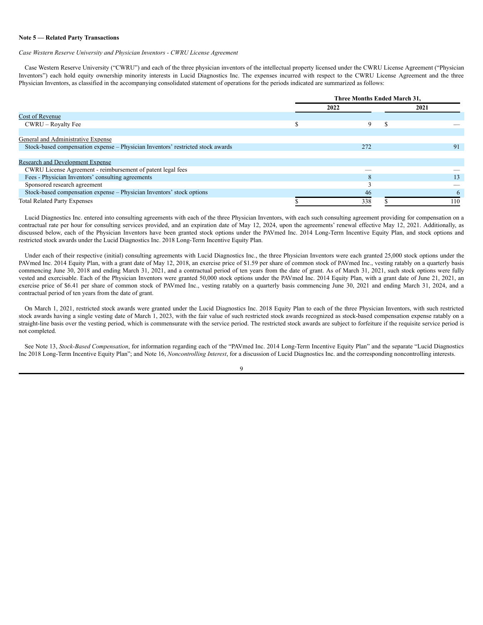### **Note 5 — Related Party Transactions**

*Case Western Reserve University and Physician Inventors - CWRU License Agreement*

Case Western Reserve University ("CWRU") and each of the three physician inventors of the intellectual property licensed under the CWRU License Agreement ("Physician Inventors") each hold equity ownership minority interests in Lucid Diagnostics Inc. The expenses incurred with respect to the CWRU License Agreement and the three Physician Inventors, as classified in the accompanying consolidated statement of operations for the periods indicated are summarized as follows:

|                                                                                 | <b>Three Months Ended March 31,</b> |    |      |     |  |
|---------------------------------------------------------------------------------|-------------------------------------|----|------|-----|--|
|                                                                                 | 2022                                |    | 2021 |     |  |
| Cost of Revenue                                                                 |                                     |    |      |     |  |
| CWRU – Royalty Fee                                                              | q                                   | J. |      |     |  |
|                                                                                 |                                     |    |      |     |  |
| General and Administrative Expense                                              |                                     |    |      |     |  |
| Stock-based compensation expense - Physician Inventors' restricted stock awards | 272                                 |    |      | 91  |  |
|                                                                                 |                                     |    |      |     |  |
| <b>Research and Development Expense</b>                                         |                                     |    |      |     |  |
| CWRU License Agreement - reimbursement of patent legal fees                     |                                     |    |      |     |  |
| Fees - Physician Inventors' consulting agreements                               | ◠                                   |    |      | 13  |  |
| Sponsored research agreement                                                    |                                     |    |      |     |  |
| Stock-based compensation expense – Physician Inventors' stock options           | 46                                  |    |      |     |  |
| <b>Total Related Party Expenses</b>                                             | 338                                 |    |      | 110 |  |

Lucid Diagnostics Inc. entered into consulting agreements with each of the three Physician Inventors, with each such consulting agreement providing for compensation on a contractual rate per hour for consulting services provided, and an expiration date of May 12, 2024, upon the agreements' renewal effective May 12, 2021. Additionally, as discussed below, each of the Physician Inventors have been granted stock options under the PAVmed Inc. 2014 Long-Term Incentive Equity Plan, and stock options and restricted stock awards under the Lucid Diagnostics Inc. 2018 Long-Term Incentive Equity Plan.

Under each of their respective (initial) consulting agreements with Lucid Diagnostics Inc., the three Physician Inventors were each granted 25,000 stock options under the PAVmed Inc. 2014 Equity Plan, with a grant date of May 12, 2018, an exercise price of \$1.59 per share of common stock of PAVmed Inc., vesting ratably on a quarterly basis commencing June 30, 2018 and ending March 31, 2021, and a contractual period of ten years from the date of grant. As of March 31, 2021, such stock options were fully vested and exercisable. Each of the Physician Inventors were granted 50,000 stock options under the PAVmed Inc. 2014 Equity Plan, with a grant date of June 21, 2021, an exercise price of \$6.41 per share of common stock of PAVmed Inc., vesting ratably on a quarterly basis commencing June 30, 2021 and ending March 31, 2024, and a contractual period of ten years from the date of grant.

On March 1, 2021, restricted stock awards were granted under the Lucid Diagnostics Inc. 2018 Equity Plan to each of the three Physician Inventors, with such restricted stock awards having a single vesting date of March 1, 2023, with the fair value of such restricted stock awards recognized as stock-based compensation expense ratably on a straight-line basis over the vesting period, which is commensurate with the service period. The restricted stock awards are subject to forfeiture if the requisite service period is not completed.

See Note 13, *Stock-Based Compensation*, for information regarding each of the "PAVmed Inc. 2014 Long-Term Incentive Equity Plan" and the separate "Lucid Diagnostics Inc 2018 Long-Term Incentive Equity Plan"; and Note 16, *Noncontrolling Interest*, for a discussion of Lucid Diagnostics Inc. and the corresponding noncontrolling interests.

 $\mathbf Q$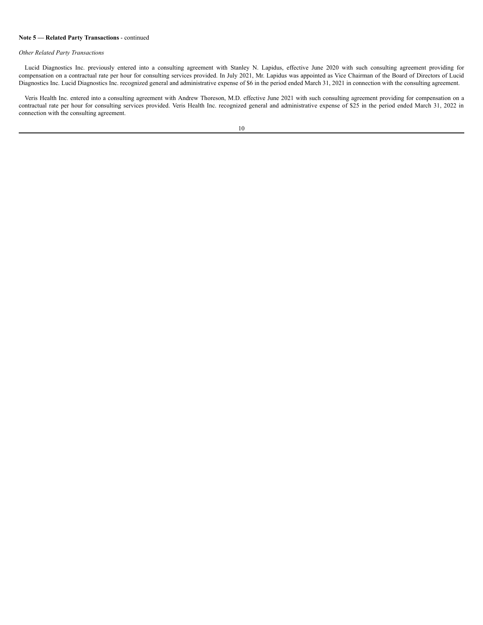### **Note 5 — Related Party Transactions** - continued

### *Other Related Party Transactions*

Lucid Diagnostics Inc. previously entered into a consulting agreement with Stanley N. Lapidus, effective June 2020 with such consulting agreement providing for compensation on a contractual rate per hour for consulting services provided. In July 2021, Mr. Lapidus was appointed as Vice Chairman of the Board of Directors of Lucid Diagnostics Inc. Lucid Diagnostics Inc. recognized general and administrative expense of \$6 in the period ended March 31, 2021 in connection with the consulting agreement.

Veris Health Inc. entered into a consulting agreement with Andrew Thoreson, M.D. effective June 2021 with such consulting agreement providing for compensation on a contractual rate per hour for consulting services provided. Veris Health Inc. recognized general and administrative expense of \$25 in the period ended March 31, 2022 in connection with the consulting agreement.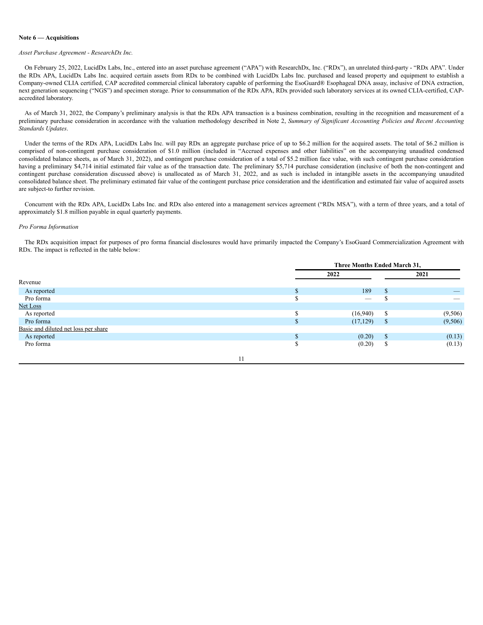### **Note 6 — Acquisitions**

#### *Asset Purchase Agreement - ResearchDx Inc.*

On February 25, 2022, LucidDx Labs, Inc., entered into an asset purchase agreement ("APA") with ResearchDx, Inc. ("RDx"), an unrelated third-party - "RDx APA". Under the RDx APA, LucidDx Labs Inc. acquired certain assets from RDx to be combined with LucidDx Labs Inc. purchased and leased property and equipment to establish a Company-owned CLIA certified, CAP accredited commercial clinical laboratory capable of performing the EsoGuard® Esophageal DNA assay, inclusive of DNA extraction, next generation sequencing ("NGS") and specimen storage. Prior to consummation of the RDx APA, RDx provided such laboratory services at its owned CLIA-certified, CAPaccredited laboratory.

As of March 31, 2022, the Company's preliminary analysis is that the RDx APA transaction is a business combination, resulting in the recognition and measurement of a preliminary purchase consideration in accordance with the valuation methodology described in Note 2, *Summary of Significant Accounting Policies and Recent Accounting Standards Updates*.

Under the terms of the RDx APA, LucidDx Labs Inc. will pay RDx an aggregate purchase price of up to \$6.2 million for the acquired assets. The total of \$6.2 million is comprised of non-contingent purchase consideration of \$1.0 million (included in "Accrued expenses and other liabilities" on the accompanying unaudited condensed consolidated balance sheets, as of March 31, 2022), and contingent purchase consideration of a total of \$5.2 million face value, with such contingent purchase consideration having a preliminary \$4,714 initial estimated fair value as of the transaction date. The preliminary \$5,714 purchase consideration (inclusive of both the non-contingent and contingent purchase consideration discussed above) is unallocated as of March 31, 2022, and as such is included in intangible assets in the accompanying unaudited consolidated balance sheet. The preliminary estimated fair value of the contingent purchase price consideration and the identification and estimated fair value of acquired assets are subject-to further revision.

Concurrent with the RDx APA, LucidDx Labs Inc. and RDx also entered into a management services agreement ("RDx MSA"), with a term of three years, and a total of approximately \$1.8 million payable in equal quarterly payments.

### *Pro Forma Information*

The RDx acquisition impact for purposes of pro forma financial disclosures would have primarily impacted the Company's EsoGuard Commercialization Agreement with RDx. The impact is reflected in the table below:

|                                      |    | Three Months Ended March 31, |           |               |         |  |  |
|--------------------------------------|----|------------------------------|-----------|---------------|---------|--|--|
|                                      |    | 2022                         |           |               | 2021    |  |  |
| Revenue                              |    |                              |           |               |         |  |  |
| As reported                          |    |                              | 189       | $\mathcal{S}$ |         |  |  |
| Pro forma                            |    |                              |           | D             |         |  |  |
| Net Loss                             |    |                              |           |               |         |  |  |
| As reported                          |    | ጦ                            | (16,940)  | \$            | (9,506) |  |  |
| Pro forma                            |    | - 33                         | (17, 129) | <sup>\$</sup> | (9,506) |  |  |
| Basic and diluted net loss per share |    |                              |           |               |         |  |  |
| As reported                          |    |                              | (0.20)    | $\mathbb{S}$  | (0.13)  |  |  |
| Pro forma                            |    |                              | (0.20)    | \$            | (0.13)  |  |  |
|                                      | 11 |                              |           |               |         |  |  |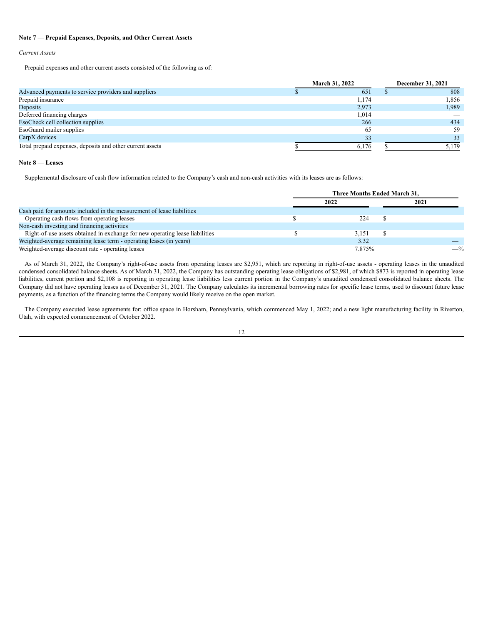### **Note 7 — Prepaid Expenses, Deposits, and Other Current Assets**

#### *Current Assets*

Prepaid expenses and other current assets consisted of the following as of:

|                                                           | <b>March 31, 2022</b> |       |  | December 31, 2021 |  |  |
|-----------------------------------------------------------|-----------------------|-------|--|-------------------|--|--|
| Advanced payments to service providers and suppliers      |                       | 651   |  | 808               |  |  |
| Prepaid insurance                                         |                       | 1,174 |  | 1,856             |  |  |
| Deposits                                                  |                       | 2,973 |  | 1,989             |  |  |
| Deferred financing charges                                |                       | 1,014 |  |                   |  |  |
| EsoCheck cell collection supplies                         |                       | 266   |  | 434               |  |  |
| EsoGuard mailer supplies                                  |                       | 65    |  | 59                |  |  |
| CarpX devices                                             |                       | 33    |  | 33                |  |  |
| Total prepaid expenses, deposits and other current assets |                       | 6,176 |  | 5.179             |  |  |

#### **Note 8 — Leases**

Supplemental disclosure of cash flow information related to the Company's cash and non-cash activities with its leases are as follows:

|                                                                              | <b>Three Months Ended March 31.</b> |  |      |       |  |
|------------------------------------------------------------------------------|-------------------------------------|--|------|-------|--|
|                                                                              | 2022                                |  | 2021 |       |  |
| Cash paid for amounts included in the measurement of lease liabilities       |                                     |  |      |       |  |
| Operating cash flows from operating leases                                   | 224                                 |  |      |       |  |
| Non-cash investing and financing activities                                  |                                     |  |      |       |  |
| Right-of-use assets obtained in exchange for new operating lease liabilities | 3.151                               |  |      |       |  |
| Weighted-average remaining lease term - operating leases (in years)          | 3.32                                |  |      |       |  |
| Weighted-average discount rate - operating leases                            | 7.875%                              |  |      | $-$ % |  |

As of March 31, 2022, the Company's right-of-use assets from operating leases are \$2,951, which are reporting in right-of-use assets - operating leases in the unaudited condensed consolidated balance sheets. As of March 31, 2022, the Company has outstanding operating lease obligations of \$2,981, of which \$873 is reported in operating lease liabilities, current portion and \$2,108 is reporting in operating lease liabilities less current portion in the Company's unaudited condensed consolidated balance sheets. The Company did not have operating leases as of December 31, 2021. The Company calculates its incremental borrowing rates for specific lease terms, used to discount future lease payments, as a function of the financing terms the Company would likely receive on the open market.

The Company executed lease agreements for: office space in Horsham, Pennsylvania, which commenced May 1, 2022; and a new light manufacturing facility in Riverton, Utah, with expected commencement of October 2022.

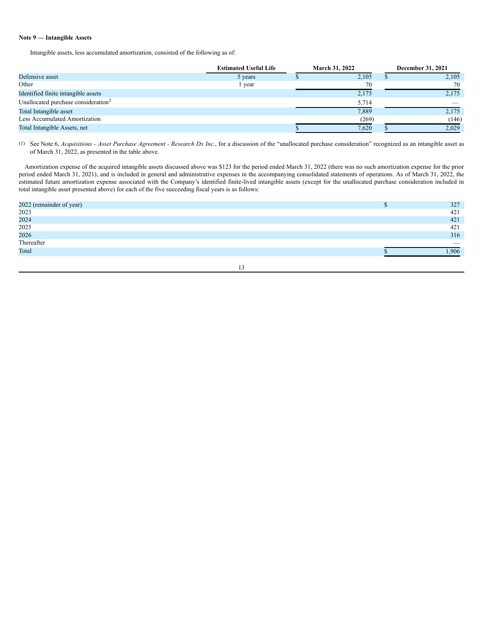### **Note 9 — Intangible Assets**

Intangible assets, less accumulated amortization, consisted of the following as of:

|                                     | <b>Estimated Useful Life</b> | <b>March 31, 2022</b> | December 31, 2021 |
|-------------------------------------|------------------------------|-----------------------|-------------------|
| Defensive asset                     | 5 years                      | 2,105                 | 2,105             |
| Other                               | l year                       | 70                    | 70                |
| Identified finite intangible assets |                              | 2,175                 | 2,175             |
| Unallocated purchase consideration  |                              | 5,714                 |                   |
| Total Intangible asset              |                              | 7,889                 | 2,175             |
| Less Accumulated Amortization       |                              | (269)                 | (146)             |
| Total Intangible Assets, net        |                              | 7,620                 | 2,029             |

(1) See Note 6, Acquisitions - Asset Purchase Agreement - Research Dx Inc., for a discussion of the "unallocated purchase consideration" recognized as an intangible asset as of March 31, 2022, as presented in the table above.

Amortization expense of the acquired intangible assets discussed above was \$123 for the period ended March 31, 2022 (there was no such amortization expense for the prior period ended March 31, 2021), and is included in general and administrative expenses in the accompanying consolidated statements of operations. As of March 31, 2022, the estimated future amortization expense associated with the Company's identified finite-lived intangible assets (except for the unallocated purchase consideration included in total intangible asset presented above) for each of the five succeeding fiscal years is as follows:

| 2022 (remainder of year) | 327  |
|--------------------------|------|
| 2023                     | 421  |
| 2024                     | 421  |
| 2025                     | 421  |
| 2026                     | 316  |
| Thereafter               |      |
| Total                    | .906 |
|                          |      |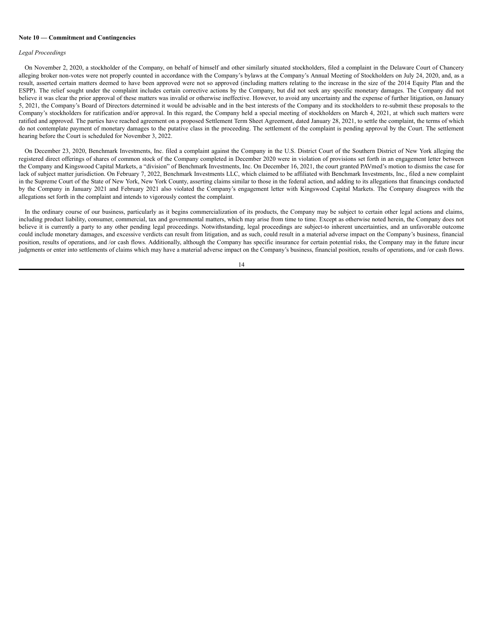### **Note 10 — Commitment and Contingencies**

### *Legal Proceedings*

On November 2, 2020, a stockholder of the Company, on behalf of himself and other similarly situated stockholders, filed a complaint in the Delaware Court of Chancery alleging broker non-votes were not properly counted in accordance with the Company's bylaws at the Company's Annual Meeting of Stockholders on July 24, 2020, and, as a result, asserted certain matters deemed to have been approved were not so approved (including matters relating to the increase in the size of the 2014 Equity Plan and the ESPP). The relief sought under the complaint includes certain corrective actions by the Company, but did not seek any specific monetary damages. The Company did not believe it was clear the prior approval of these matters was invalid or otherwise ineffective. However, to avoid any uncertainty and the expense of further litigation, on January 5, 2021, the Company's Board of Directors determined it would be advisable and in the best interests of the Company and its stockholders to re-submit these proposals to the Company's stockholders for ratification and/or approval. In this regard, the Company held a special meeting of stockholders on March 4, 2021, at which such matters were ratified and approved. The parties have reached agreement on a proposed Settlement Term Sheet Agreement, dated January 28, 2021, to settle the complaint, the terms of which do not contemplate payment of monetary damages to the putative class in the proceeding. The settlement of the complaint is pending approval by the Court. The settlement hearing before the Court is scheduled for November 3, 2022.

On December 23, 2020, Benchmark Investments, Inc. filed a complaint against the Company in the U.S. District Court of the Southern District of New York alleging the registered direct offerings of shares of common stock of the Company completed in December 2020 were in violation of provisions set forth in an engagement letter between the Company and Kingswood Capital Markets, a "division" of Benchmark Investments, Inc. On December 16, 2021, the court granted PAVmed's motion to dismiss the case for lack of subject matter jurisdiction. On February 7, 2022, Benchmark Investments LLC, which claimed to be affiliated with Benchmark Investments, Inc., filed a new complaint in the Supreme Court of the State of New York, New York County, asserting claims similar to those in the federal action, and adding to its allegations that financings conducted by the Company in January 2021 and February 2021 also violated the Company's engagement letter with Kingswood Capital Markets. The Company disagrees with the allegations set forth in the complaint and intends to vigorously contest the complaint.

In the ordinary course of our business, particularly as it begins commercialization of its products, the Company may be subject to certain other legal actions and claims, including product liability, consumer, commercial, tax and governmental matters, which may arise from time to time. Except as otherwise noted herein, the Company does not believe it is currently a party to any other pending legal proceedings. Notwithstanding, legal proceedings are subject-to inherent uncertainties, and an unfavorable outcome could include monetary damages, and excessive verdicts can result from litigation, and as such, could result in a material adverse impact on the Company's business, financial position, results of operations, and /or cash flows. Additionally, although the Company has specific insurance for certain potential risks, the Company may in the future incur judgments or enter into settlements of claims which may have a material adverse impact on the Company's business, financial position, results of operations, and /or cash flows.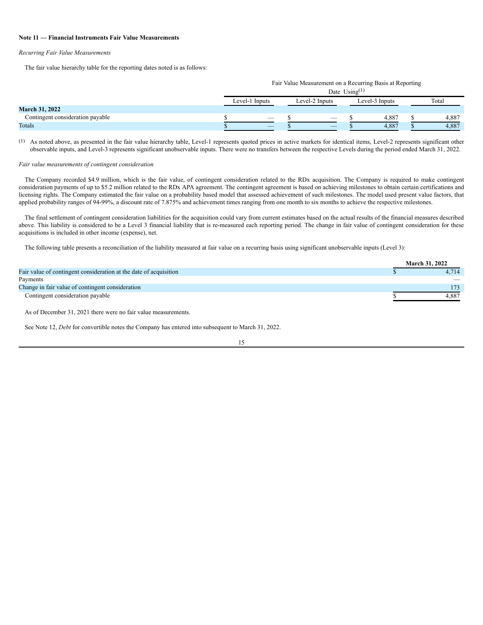### **Note 11 — Financial Instruments Fair Value Measurements**

### *Recurring Fair Value Measurements*

The fair value hierarchy table for the reporting dates noted is as follows:

|                                  | Fair Value Measurement on a Recurring Basis at Reporting<br>Date $Using(1)$ |                          |  |  |  |       |       |       |
|----------------------------------|-----------------------------------------------------------------------------|--------------------------|--|--|--|-------|-------|-------|
|                                  | Level-3 Inputs<br>Level-1 Inputs<br>Level-2 Inputs                          |                          |  |  |  |       | Total |       |
| <b>March 31, 2022</b>            |                                                                             |                          |  |  |  |       |       |       |
| Contingent consideration payable |                                                                             | $\overline{\phantom{m}}$ |  |  |  | 4,887 |       | 4,887 |
| Totals                           |                                                                             |                          |  |  |  | 4,887 |       | 4,887 |

(1) As noted above, as presented in the fair value hierarchy table, Level-1 represents quoted prices in active markets for identical items, Level-2 represents significant other observable inputs, and Level-3 represents significant unobservable inputs. There were no transfers between the respective Levels during the period ended March 31, 2022.

### *Fair value measurements of contingent consideration*

The Company recorded \$4.9 million, which is the fair value, of contingent consideration related to the RDx acquisition. The Company is required to make contingent consideration payments of up to \$5.2 million related to the RDx APA agreement. The contingent agreement is based on achieving milestones to obtain certain certifications and licensing rights. The Company estimated the fair value on a probability based model that assessed achievement of such milestones. The model used present value factors, that applied probability ranges of 94-99%, a discount rate of 7.875% and achievement times ranging from one month to six months to achieve the respective milestones.

The final settlement of contingent consideration liabilities for the acquisition could vary from current estimates based on the actual results of the financial measures described above. This liability is considered to be a Level 3 financial liability that is re-measured each reporting period. The change in fair value of contingent consideration for these acquisitions is included in other income (expense), net.

The following table presents a reconciliation of the liability measured at fair value on a recurring basis using significant unobservable inputs (Level 3):

|                                                                   | <b>March 31, 2022</b> |
|-------------------------------------------------------------------|-----------------------|
| Fair value of contingent consideration at the date of acquisition | 4.714                 |
| Payments                                                          | $-$                   |
| Change in fair value of contingent consideration                  |                       |
| Contingent consideration payable                                  | 4.887                 |

As of December 31, 2021 there were no fair value measurements.

See Note 12, *Debt* for convertible notes the Company has entered into subsequent to March 31, 2022.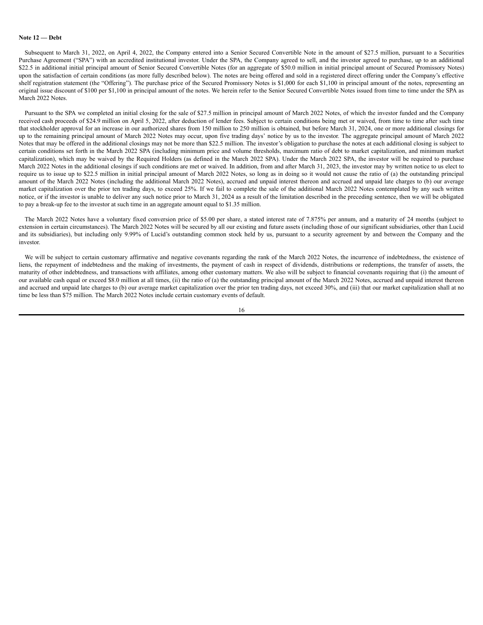### **Note 12 — Debt**

Subsequent to March 31, 2022, on April 4, 2022, the Company entered into a Senior Secured Convertible Note in the amount of \$27.5 million, pursuant to a Securities Purchase Agreement ("SPA") with an accredited institutional investor. Under the SPA, the Company agreed to sell, and the investor agreed to purchase, up to an additional \$22.5 in additional initial principal amount of Senior Secured Convertible Notes (for an aggregate of \$50.0 million in initial principal amount of Secured Promissory Notes) upon the satisfaction of certain conditions (as more fully described below). The notes are being offered and sold in a registered direct offering under the Company's effective shelf registration statement (the "Offering"). The purchase price of the Secured Promissory Notes is \$1,000 for each \$1,100 in principal amount of the notes, representing an original issue discount of \$100 per \$1,100 in principal amount of the notes. We herein refer to the Senior Secured Convertible Notes issued from time to time under the SPA as March 2022 Notes.

Pursuant to the SPA we completed an initial closing for the sale of \$27.5 million in principal amount of March 2022 Notes, of which the investor funded and the Company received cash proceeds of \$24.9 million on April 5, 2022, after deduction of lender fees. Subject to certain conditions being met or waived, from time to time after such time that stockholder approval for an increase in our authorized shares from 150 million to 250 million is obtained, but before March 31, 2024, one or more additional closings for up to the remaining principal amount of March 2022 Notes may occur, upon five trading days' notice by us to the investor. The aggregate principal amount of March 2022 Notes that may be offered in the additional closings may not be more than \$22.5 million. The investor's obligation to purchase the notes at each additional closing is subject to certain conditions set forth in the March 2022 SPA (including minimum price and volume thresholds, maximum ratio of debt to market capitalization, and minimum market capitalization), which may be waived by the Required Holders (as defined in the March 2022 SPA). Under the March 2022 SPA, the investor will be required to purchase March 2022 Notes in the additional closings if such conditions are met or waived. In addition, from and after March 31, 2023, the investor may by written notice to us elect to require us to issue up to \$22.5 million in initial principal amount of March 2022 Notes, so long as in doing so it would not cause the ratio of (a) the outstanding principal amount of the March 2022 Notes (including the additional March 2022 Notes), accrued and unpaid interest thereon and accrued and unpaid late charges to (b) our average market capitalization over the prior ten trading days, to exceed 25%. If we fail to complete the sale of the additional March 2022 Notes contemplated by any such written notice, or if the investor is unable to deliver any such notice prior to March 31, 2024 as a result of the limitation described in the preceding sentence, then we will be obligated to pay a break-up fee to the investor at such time in an aggregate amount equal to \$1.35 million.

The March 2022 Notes have a voluntary fixed conversion price of \$5.00 per share, a stated interest rate of 7.875% per annum, and a maturity of 24 months (subject to extension in certain circumstances). The March 2022 Notes will be secured by all our existing and future assets (including those of our significant subsidiaries, other than Lucid and its subsidiaries), but including only 9.99% of Lucid's outstanding common stock held by us, pursuant to a security agreement by and between the Company and the investor.

We will be subject to certain customary affirmative and negative covenants regarding the rank of the March 2022 Notes, the incurrence of indebtedness, the existence of liens, the repayment of indebtedness and the making of investments, the payment of cash in respect of dividends, distributions or redemptions, the transfer of assets, the maturity of other indebtedness, and transactions with affiliates, among other customary matters. We also will be subject to financial covenants requiring that (i) the amount of our available cash equal or exceed \$8.0 million at all times, (ii) the ratio of (a) the outstanding principal amount of the March 2022 Notes, accrued and unpaid interest thereon and accrued and unpaid late charges to (b) our average market capitalization over the prior ten trading days, not exceed 30%, and (iii) that our market capitalization shall at no time be less than \$75 million. The March 2022 Notes include certain customary events of default.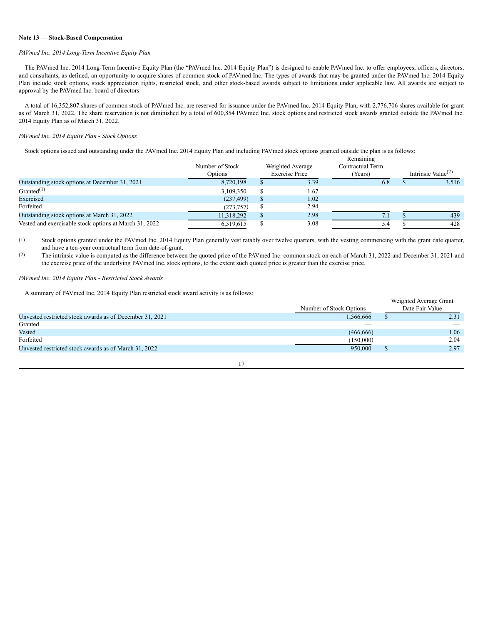### **Note 13 — Stock-Based Compensation**

### *PAVmed Inc. 2014 Long-Term Incentive Equity Plan*

The PAVmed Inc. 2014 Long-Term Incentive Equity Plan (the "PAVmed Inc. 2014 Equity Plan") is designed to enable PAVmed Inc. to offer employees, officers, directors, and consultants, as defined, an opportunity to acquire shares of common stock of PAVmed Inc. The types of awards that may be granted under the PAVmed Inc. 2014 Equity Plan include stock options, stock appreciation rights, restricted stock, and other stock-based awards subject to limitations under applicable law. All awards are subject to approval by the PAVmed Inc. board of directors.

A total of 16,352,807 shares of common stock of PAVmed Inc. are reserved for issuance under the PAVmed Inc. 2014 Equity Plan, with 2,776,706 shares available for grant as of March 31, 2022. The share reservation is not diminished by a total of 600,854 PAVmed Inc. stock options and restricted stock awards granted outside the PAVmed Inc. 2014 Equity Plan as of March 31, 2022.

### *PAVmed Inc. 2014 Equity Plan - Stock Options*

Stock options issued and outstanding under the PAVmed Inc. 2014 Equity Plan and including PAVmed stock options granted outside the plan is as follows:

|                                                        |                                   |                                           | Remaining                   |                       |
|--------------------------------------------------------|-----------------------------------|-------------------------------------------|-----------------------------|-----------------------|
|                                                        | Number of Stock<br><b>Options</b> | Weighted Average<br><b>Exercise Price</b> | Contractual Term<br>(Years) | Intrinsic Value $(2)$ |
|                                                        |                                   |                                           |                             |                       |
| Outstanding stock options at December 31, 2021         | 8,720,198                         | 3.39                                      | 6.8                         | 3.516                 |
| Granted $(1)$                                          | 3.109.350                         | 1.67                                      |                             |                       |
| Exercised                                              | (237, 499)                        | 1.02                                      |                             |                       |
| Forfeited                                              | (273, 757)                        | 2.94                                      |                             |                       |
| Outstanding stock options at March 31, 2022            | 11.318.292                        | 2.98                                      |                             | 439                   |
| Vested and exercisable stock options at March 31, 2022 | 6.519.615                         | 3.08                                      | 5.4                         | 428                   |

(1) Stock options granted under the PAVmed Inc. 2014 Equity Plan generally vest ratably over twelve quarters, with the vesting commencing with the grant date quarter, and have a ten-year contractual term from date-of-grant.

(2) The intrinsic value is computed as the difference between the quoted price of the PAVmed Inc. common stock on each of March 31, 2022 and December 31, 2021 and the exercise price of the underlying PAVmed Inc. stock options, to the extent such quoted price is greater than the exercise price.

*PAVmed Inc. 2014 Equity Plan - Restricted Stock Awards*

A summary of PAVmed Inc. 2014 Equity Plan restricted stock award activity is as follows:

|                                                          | Number of Stock Options | weighted Average Gram<br>Date Fair Value |
|----------------------------------------------------------|-------------------------|------------------------------------------|
| Unvested restricted stock awards as of December 31, 2021 | 1.566.666               |                                          |
| Granted                                                  |                         |                                          |
| Vested                                                   | (466, 666)              | 1.06                                     |
| Forfeited                                                | (150,000)               | 2.04                                     |
| Unvested restricted stock awards as of March 31, 2022    | 950,000                 | 2.97                                     |
|                                                          |                         |                                          |

Weighted Average Cr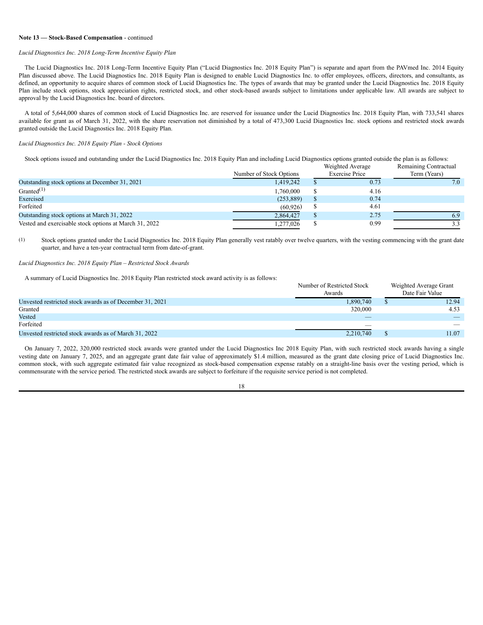#### *Lucid Diagnostics Inc. 2018 Long-Term Incentive Equity Plan*

The Lucid Diagnostics Inc. 2018 Long-Term Incentive Equity Plan ("Lucid Diagnostics Inc. 2018 Equity Plan") is separate and apart from the PAVmed Inc. 2014 Equity Plan discussed above. The Lucid Diagnostics Inc. 2018 Equity Plan is designed to enable Lucid Diagnostics Inc. to offer employees, officers, directors, and consultants, as defined, an opportunity to acquire shares of common stock of Lucid Diagnostics Inc. The types of awards that may be granted under the Lucid Diagnostics Inc. 2018 Equity Plan include stock options, stock appreciation rights, restricted stock, and other stock-based awards subject to limitations under applicable law. All awards are subject to approval by the Lucid Diagnostics Inc. board of directors.

A total of 5,644,000 shares of common stock of Lucid Diagnostics Inc. are reserved for issuance under the Lucid Diagnostics Inc. 2018 Equity Plan, with 733,541 shares available for grant as of March 31, 2022, with the share reservation not diminished by a total of 473,300 Lucid Diagnostics Inc. stock options and restricted stock awards granted outside the Lucid Diagnostics Inc. 2018 Equity Plan.

### *Lucid Diagnostics Inc. 2018 Equity Plan - Stock Options*

Stock options issued and outstanding under the Lucid Diagnostics Inc. 2018 Equity Plan and including Lucid Diagnostics options granted outside the plan is as follows:

|                                                        |                         | Weighted Average      | Remaining Contractual |
|--------------------------------------------------------|-------------------------|-----------------------|-----------------------|
|                                                        | Number of Stock Options | <b>Exercise Price</b> | Term (Years)          |
| Outstanding stock options at December 31, 2021         | 1.419.242               | 0.73                  | 7.0                   |
| Granted $(1)$                                          | 1.760.000               | 4.16                  |                       |
| Exercised                                              | (253, 889)              | 0.74                  |                       |
| Forfeited                                              | (60, 926)               | 4.61                  |                       |
| Outstanding stock options at March 31, 2022            | 2.864.427               | 2.75                  | 6.9                   |
| Vested and exercisable stock options at March 31, 2022 | 1,277,026               | 0.99                  |                       |

(1) Stock options granted under the Lucid Diagnostics Inc. 2018 Equity Plan generally vest ratably over twelve quarters, with the vesting commencing with the grant date quarter, and have a ten-year contractual term from date-of-grant.

### *Lucid Diagnostics Inc. 2018 Equity Plan – Restricted Stock Awards*

A summary of Lucid Diagnostics Inc. 2018 Equity Plan restricted stock award activity is as follows:

|                                                          | Number of Restricted Stock<br>Awards | Weighted Average Grant<br>Date Fair Value |
|----------------------------------------------------------|--------------------------------------|-------------------------------------------|
| Unvested restricted stock awards as of December 31, 2021 | .890.740                             | 12.94                                     |
| Granted                                                  | 320,000                              | 4.53                                      |
| Vested                                                   |                                      |                                           |
| Forfeited                                                |                                      |                                           |
| Unvested restricted stock awards as of March 31, 2022    | 2,210,740                            | 11.07                                     |

On January 7, 2022, 320,000 restricted stock awards were granted under the Lucid Diagnostics Inc 2018 Equity Plan, with such restricted stock awards having a single vesting date on January 7, 2025, and an aggregate grant date fair value of approximately \$1.4 million, measured as the grant date closing price of Lucid Diagnostics Inc. common stock, with such aggregate estimated fair value recognized as stock-based compensation expense ratably on a straight-line basis over the vesting period, which is commensurate with the service period. The restricted stock awards are subject to forfeiture if the requisite service period is not completed.

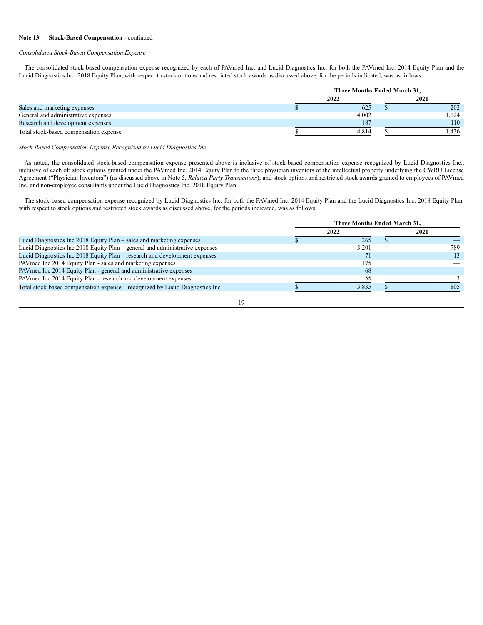### *Consolidated Stock-Based Compensation Expense*

The consolidated stock-based compensation expense recognized by each of PAVmed Inc. and Lucid Diagnostics Inc. for both the PAVmed Inc. 2014 Equity Plan and the Lucid Diagnostics Inc. 2018 Equity Plan, with respect to stock options and restricted stock awards as discussed above, for the periods indicated, was as follows:

|                                        | <b>Three Months Ended March 31.</b> |  |      |  |
|----------------------------------------|-------------------------------------|--|------|--|
|                                        | 2022                                |  | 2021 |  |
| Sales and marketing expenses           | 625                                 |  | 202  |  |
| General and administrative expenses    | 4,002                               |  | .124 |  |
| Research and development expenses      | 187                                 |  | 110  |  |
| Total stock-based compensation expense | 4,814                               |  | .436 |  |

*Stock-Based Compensation Expense Recognized by Lucid Diagnostics Inc.*

As noted, the consolidated stock-based compensation expense presented above is inclusive of stock-based compensation expense recognized by Lucid Diagnostics Inc., inclusive of each of: stock options granted under the PAVmed Inc. 2014 Equity Plan to the three physician inventors of the intellectual property underlying the CWRU License Agreement ("Physician Inventors") (as discussed above in Note 5, *Related Party Transactions*); and stock options and restricted stock awards granted to employees of PAVmed Inc. and non-employee consultants under the Lucid Diagnostics Inc. 2018 Equity Plan.

The stock-based compensation expense recognized by Lucid Diagnostics Inc. for both the PAVmed Inc. 2014 Equity Plan and the Lucid Diagnostics Inc. 2018 Equity Plan, with respect to stock options and restricted stock awards as discussed above, for the periods indicated, was as follows:

|                                                                              | <b>Three Months Ended March 31.</b> |       |  |      |
|------------------------------------------------------------------------------|-------------------------------------|-------|--|------|
|                                                                              | 2022                                |       |  | 2021 |
| Lucid Diagnostics Inc 2018 Equity Plan – sales and marketing expenses        |                                     | 265   |  |      |
| Lucid Diagnostics Inc 2018 Equity Plan – general and administrative expenses |                                     | 3,201 |  | 789  |
| Lucid Diagnostics Inc 2018 Equity Plan – research and development expenses   |                                     |       |  |      |
| PAV med Inc 2014 Equity Plan - sales and marketing expenses                  |                                     | 175   |  |      |
| PAV med Inc 2014 Equity Plan - general and administrative expenses           |                                     | 68    |  |      |
| PAVmed Inc 2014 Equity Plan - research and development expenses              |                                     |       |  |      |
| Total stock-based compensation expense – recognized by Lucid Diagnostics Inc |                                     | 3.835 |  | 805  |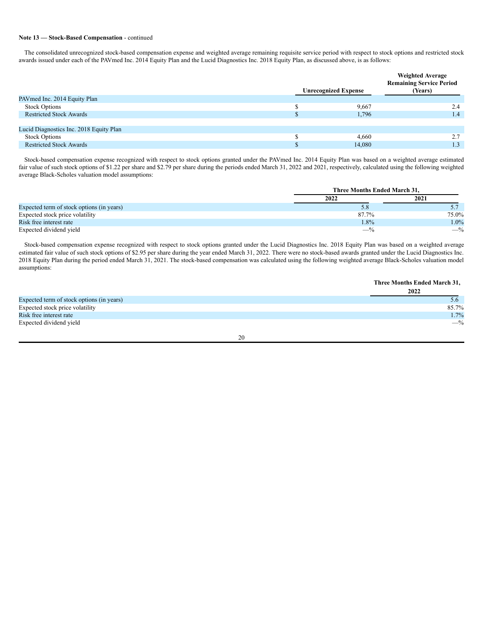The consolidated unrecognized stock-based compensation expense and weighted average remaining requisite service period with respect to stock options and restricted stock awards issued under each of the PAVmed Inc. 2014 Equity Plan and the Lucid Diagnostics Inc. 2018 Equity Plan, as discussed above, is as follows:

|                                         |                             | <b>Weighted Average</b><br><b>Remaining Service Period</b> |
|-----------------------------------------|-----------------------------|------------------------------------------------------------|
|                                         | <b>Unrecognized Expense</b> | (Years)                                                    |
| PAV med Inc. 2014 Equity Plan           |                             |                                                            |
| <b>Stock Options</b>                    | 9,667                       | 2.4                                                        |
| <b>Restricted Stock Awards</b>          | 1,796                       | 1.4                                                        |
|                                         |                             |                                                            |
| Lucid Diagnostics Inc. 2018 Equity Plan |                             |                                                            |
| <b>Stock Options</b>                    | 4,660                       | 2.7                                                        |
| <b>Restricted Stock Awards</b>          | 14,080                      | 1.5                                                        |

Stock-based compensation expense recognized with respect to stock options granted under the PAVmed Inc. 2014 Equity Plan was based on a weighted average estimated fair value of such stock options of \$1.22 per share and \$2.79 per share during the periods ended March 31, 2022 and 2021, respectively, calculated using the following weighted average Black-Scholes valuation model assumptions:

|                                           | <b>Three Months Ended March 31.</b> |         |
|-------------------------------------------|-------------------------------------|---------|
|                                           | 2022                                | 2021    |
| Expected term of stock options (in years) | 5.8                                 | J.,     |
| Expected stock price volatility           | 87.7%                               | 75.0%   |
| Risk free interest rate                   | 1.8%                                | $1.0\%$ |
| Expected dividend yield                   | $-$ %                               | $-$ %   |

Stock-based compensation expense recognized with respect to stock options granted under the Lucid Diagnostics Inc. 2018 Equity Plan was based on a weighted average estimated fair value of such stock options of \$2.95 per share during the year ended March 31, 2022. There were no stock-based awards granted under the Lucid Diagnostics Inc. 2018 Equity Plan during the period ended March 31, 2021. The stock-based compensation was calculated using the following weighted average Black-Scholes valuation model assumptions:

**Three Months Ended March 31,**

|                                           | 2022  |
|-------------------------------------------|-------|
| Expected term of stock options (in years) | 5.6   |
| Expected stock price volatility           | 85.7% |
| Risk free interest rate                   | 1.7%  |
| Expected dividend vield                   | $-$ % |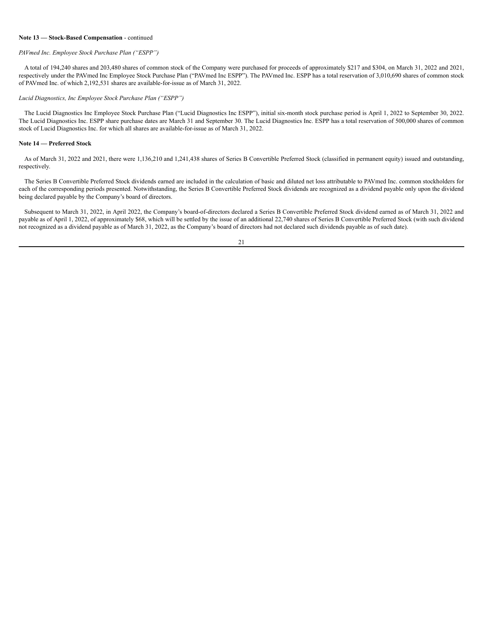### *PAVmed Inc. Employee Stock Purchase Plan ("ESPP")*

A total of 194,240 shares and 203,480 shares of common stock of the Company were purchased for proceeds of approximately \$217 and \$304, on March 31, 2022 and 2021, respectively under the PAVmed Inc Employee Stock Purchase Plan ("PAVmed Inc ESPP"). The PAVmed Inc. ESPP has a total reservation of 3,010,690 shares of common stock of PAVmed Inc. of which 2,192,531 shares are available-for-issue as of March 31, 2022.

### *Lucid Diagnostics, Inc Employee Stock Purchase Plan ("ESPP")*

The Lucid Diagnostics Inc Employee Stock Purchase Plan ("Lucid Diagnostics Inc ESPP"), initial six-month stock purchase period is April 1, 2022 to September 30, 2022. The Lucid Diagnostics Inc. ESPP share purchase dates are March 31 and September 30. The Lucid Diagnostics Inc. ESPP has a total reservation of 500,000 shares of common stock of Lucid Diagnostics Inc. for which all shares are available-for-issue as of March 31, 2022.

### **Note 14 — Preferred Stock**

As of March 31, 2022 and 2021, there were 1,136,210 and 1,241,438 shares of Series B Convertible Preferred Stock (classified in permanent equity) issued and outstanding, respectively.

The Series B Convertible Preferred Stock dividends earned are included in the calculation of basic and diluted net loss attributable to PAVmed Inc. common stockholders for each of the corresponding periods presented. Notwithstanding, the Series B Convertible Preferred Stock dividends are recognized as a dividend payable only upon the dividend being declared payable by the Company's board of directors.

Subsequent to March 31, 2022, in April 2022, the Company's board-of-directors declared a Series B Convertible Preferred Stock dividend earned as of March 31, 2022 and payable as of April 1, 2022, of approximately \$68, which will be settled by the issue of an additional 22,740 shares of Series B Convertible Preferred Stock (with such dividend not recognized as a dividend payable as of March 31, 2022, as the Company's board of directors had not declared such dividends payable as of such date).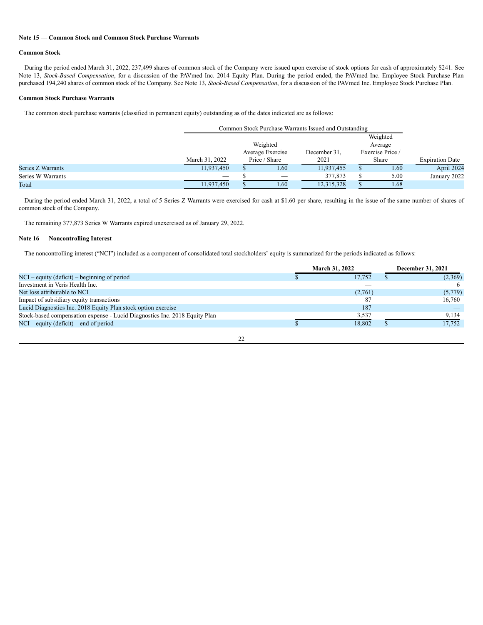### **Note 15 — Common Stock and Common Stock Purchase Warrants**

### **Common Stock**

During the period ended March 31, 2022, 237,499 shares of common stock of the Company were issued upon exercise of stock options for cash of approximately \$241. See Note 13, *Stock-Based Compensation*, for a discussion of the PAVmed Inc. 2014 Equity Plan. During the period ended, the PAVmed Inc. Employee Stock Purchase Plan purchased 194,240 shares of common stock of the Company. See Note 13, *Stock-Based Compensation*, for a discussion of the PAVmed Inc. Employee Stock Purchase Plan.

### **Common Stock Purchase Warrants**

The common stock purchase warrants (classified in permanent equity) outstanding as of the dates indicated are as follows:

|                   |                | Common Stock Purchase Warrants Issued and Outstanding |               |            |                                         |       |                        |
|-------------------|----------------|-------------------------------------------------------|---------------|------------|-----------------------------------------|-------|------------------------|
|                   |                | Weighted<br>December 31.<br>Average Exercise          |               |            | Weighted<br>Average<br>Exercise Price / |       |                        |
|                   | March 31, 2022 |                                                       | Price / Share | 2021       |                                         | Share | <b>Expiration Date</b> |
| Series Z Warrants | 11,937,450     |                                                       | 1.60          | 11,937,455 |                                         | 1.60  | April 2024             |
| Series W Warrants |                |                                                       |               | 377,873    |                                         | 5.00  | January 2022           |
| Total             | 11,937,450     |                                                       | 1.60          | 12,315,328 |                                         | 1.68  |                        |

During the period ended March 31, 2022, a total of 5 Series Z Warrants were exercised for cash at \$1.60 per share, resulting in the issue of the same number of shares of common stock of the Company.

The remaining 377,873 Series W Warrants expired unexercised as of January 29, 2022.

### **Note 16 — Noncontrolling Interest**

The noncontrolling interest ("NCI") included as a component of consolidated total stockholders' equity is summarized for the periods indicated as follows:

|                                                                            | <b>March 31, 2022</b> | December 31, 2021 |
|----------------------------------------------------------------------------|-----------------------|-------------------|
| $NCI -$ equity (deficit) – beginning of period                             | 17,752                | (2,369)           |
| Investment in Veris Health Inc.                                            | _                     |                   |
| Net loss attributable to NCI                                               | (2,761)               | (5,779)           |
| Impact of subsidiary equity transactions                                   | 87                    | 16.760            |
| Lucid Diagnostics Inc. 2018 Equity Plan stock option exercise              | 187                   |                   |
| Stock-based compensation expense - Lucid Diagnostics Inc. 2018 Equity Plan | 3.537                 | 9,134             |
| $NCI$ – equity (deficit) – end of period                                   | 18.802                | 17.752            |
|                                                                            |                       |                   |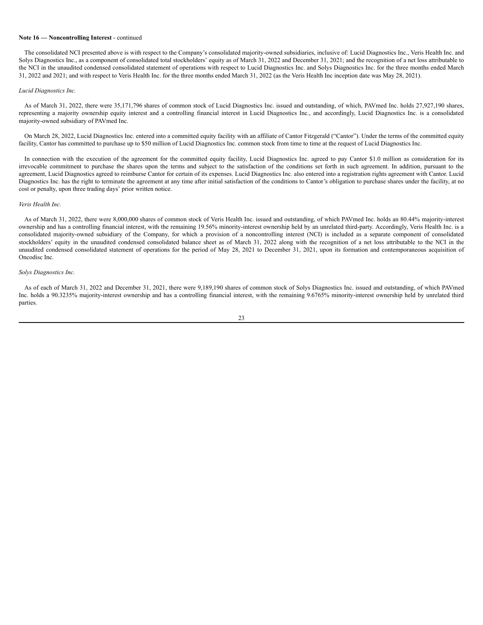### **Note 16 — Noncontrolling Interest** - continued

The consolidated NCI presented above is with respect to the Company's consolidated majority-owned subsidiaries, inclusive of: Lucid Diagnostics Inc., Veris Health Inc. and Solys Diagnostics Inc., as a component of consolidated total stockholders' equity as of March 31, 2022 and December 31, 2021; and the recognition of a net loss attributable to the NCI in the unaudited condensed consolidated statement of operations with respect to Lucid Diagnostics Inc. and Solys Diagnostics Inc. for the three months ended March 31, 2022 and 2021; and with respect to Veris Health Inc. for the three months ended March 31, 2022 (as the Veris Health Inc inception date was May 28, 2021).

#### *Lucid Diagnostics Inc.*

As of March 31, 2022, there were 35,171,796 shares of common stock of Lucid Diagnostics Inc. issued and outstanding, of which, PAVmed Inc. holds 27,927,190 shares, representing a majority ownership equity interest and a controlling financial interest in Lucid Diagnostics Inc., and accordingly, Lucid Diagnostics Inc. is a consolidated majority-owned subsidiary of PAVmed Inc.

On March 28, 2022, Lucid Diagnostics Inc. entered into a committed equity facility with an affiliate of Cantor Fitzgerald ("Cantor"). Under the terms of the committed equity facility, Cantor has committed to purchase up to \$50 million of Lucid Diagnostics Inc. common stock from time to time at the request of Lucid Diagnostics Inc.

In connection with the execution of the agreement for the committed equity facility, Lucid Diagnostics Inc. agreed to pay Cantor \$1.0 million as consideration for its irrevocable commitment to purchase the shares upon the terms and subject to the satisfaction of the conditions set forth in such agreement. In addition, pursuant to the agreement, Lucid Diagnostics agreed to reimburse Cantor for certain of its expenses. Lucid Diagnostics Inc. also entered into a registration rights agreement with Cantor. Lucid Diagnostics Inc. has the right to terminate the agreement at any time after initial satisfaction of the conditions to Cantor's obligation to purchase shares under the facility, at no cost or penalty, upon three trading days' prior written notice.

### *Veris Health Inc.*

As of March 31, 2022, there were 8,000,000 shares of common stock of Veris Health Inc. issued and outstanding, of which PAVmed Inc. holds an 80.44% majority-interest ownership and has a controlling financial interest, with the remaining 19.56% minority-interest ownership held by an unrelated third-party. Accordingly, Veris Health Inc. is a consolidated majority-owned subsidiary of the Company, for which a provision of a noncontrolling interest (NCI) is included as a separate component of consolidated stockholders' equity in the unaudited condensed consolidated balance sheet as of March 31, 2022 along with the recognition of a net loss attributable to the NCI in the unaudited condensed consolidated statement of operations for the period of May 28, 2021 to December 31, 2021, upon its formation and contemporaneous acquisition of Oncodisc Inc.

### *Solys Diagnostics Inc.*

As of each of March 31, 2022 and December 31, 2021, there were 9,189,190 shares of common stock of Solys Diagnostics Inc. issued and outstanding, of which PAVmed Inc. holds a 90.3235% majority-interest ownership and has a controlling financial interest, with the remaining 9.6765% minority-interest ownership held by unrelated third parties.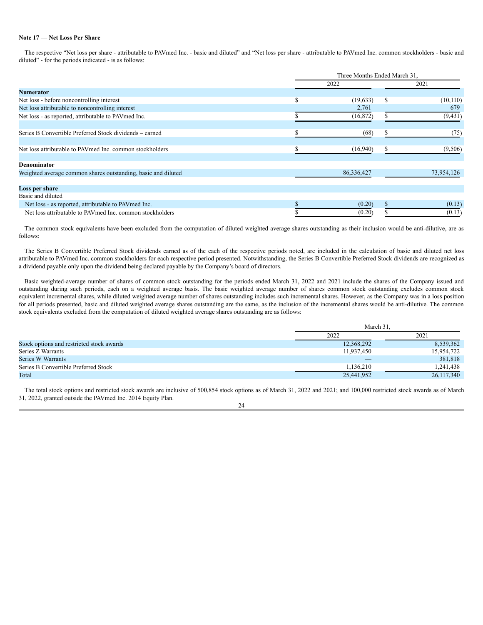### **Note 17 — Net Loss Per Share**

The respective "Net loss per share - attributable to PAVmed Inc. - basic and diluted" and "Net loss per share - attributable to PAVmed Inc. common stockholders - basic and diluted" - for the periods indicated - is as follows:

|                                                               |   | Three Months Ended March 31, |    |            |  |
|---------------------------------------------------------------|---|------------------------------|----|------------|--|
|                                                               |   | 2022                         |    | 2021       |  |
| <b>Numerator</b>                                              |   |                              |    |            |  |
| Net loss - before noncontrolling interest                     | S | (19, 633)                    | S  | (10, 110)  |  |
| Net loss attributable to noncontrolling interest              |   | 2,761                        |    | 679        |  |
| Net loss - as reported, attributable to PAV med Inc.          |   | (16, 872)                    |    | (9, 431)   |  |
| Series B Convertible Preferred Stock dividends – earned       |   | (68)                         |    | (75)       |  |
| Net loss attributable to PAV med Inc. common stockholders     |   | (16,940)                     | ъ. | (9,506)    |  |
| <b>Denominator</b>                                            |   |                              |    |            |  |
| Weighted average common shares outstanding, basic and diluted |   | 86,336,427                   |    | 73,954,126 |  |
| Loss per share                                                |   |                              |    |            |  |
| Basic and diluted                                             |   |                              |    |            |  |
| Net loss - as reported, attributable to PAV med Inc.          |   | (0.20)                       |    | (0.13)     |  |
| Net loss attributable to PAV med Inc. common stockholders     |   | (0.20)                       |    | (0.13)     |  |

The common stock equivalents have been excluded from the computation of diluted weighted average shares outstanding as their inclusion would be anti-dilutive, are as follows:

The Series B Convertible Preferred Stock dividends earned as of the each of the respective periods noted, are included in the calculation of basic and diluted net loss attributable to PAVmed Inc. common stockholders for each respective period presented. Notwithstanding, the Series B Convertible Preferred Stock dividends are recognized as a dividend payable only upon the dividend being declared payable by the Company's board of directors.

Basic weighted-average number of shares of common stock outstanding for the periods ended March 31, 2022 and 2021 include the shares of the Company issued and outstanding during such periods, each on a weighted average basis. The basic weighted average number of shares common stock outstanding excludes common stock equivalent incremental shares, while diluted weighted average number of shares outstanding includes such incremental shares. However, as the Company was in a loss position for all periods presented, basic and diluted weighted average shares outstanding are the same, as the inclusion of the incremental shares would be anti-dilutive. The common stock equivalents excluded from the computation of diluted weighted average shares outstanding are as follows:

|                                           | March 31   |            |  |
|-------------------------------------------|------------|------------|--|
|                                           | 2022       | 2021       |  |
| Stock options and restricted stock awards | 12,368,292 | 8,539,362  |  |
| Series Z Warrants                         | 11,937,450 | 15,954,722 |  |
| Series W Warrants                         |            | 381,818    |  |
| Series B Convertible Preferred Stock      | 1,136,210  | 1,241,438  |  |
| Total                                     | 25,441,952 | 26,117,340 |  |

The total stock options and restricted stock awards are inclusive of 500,854 stock options as of March 31, 2022 and 2021; and 100,000 restricted stock awards as of March 31, 2022, granted outside the PAVmed Inc. 2014 Equity Plan.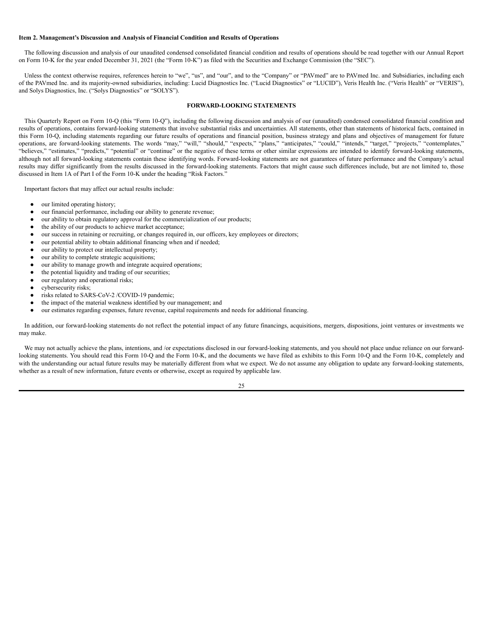### <span id="page-26-0"></span>**Item 2. Management's Discussion and Analysis of Financial Condition and Results of Operations**

The following discussion and analysis of our unaudited condensed consolidated financial condition and results of operations should be read together with our Annual Report on Form 10-K for the year ended December 31, 2021 (the "Form 10-K") as filed with the Securities and Exchange Commission (the "SEC").

Unless the context otherwise requires, references herein to "we", "us", and "our", and to the "Company" or "PAVmed" are to PAVmed Inc. and Subsidiaries, including each of the PAVmed Inc. and its majority-owned subsidiaries, including: Lucid Diagnostics Inc. ("Lucid Diagnostics" or "LUCID"), Veris Health Inc. ("Veris Health" or "VERIS"), and Solys Diagnostics, Inc. ("Solys Diagnostics" or "SOLYS").

### **FORWARD-LOOKING STATEMENTS**

This Quarterly Report on Form 10-Q (this "Form 10-Q"), including the following discussion and analysis of our (unaudited) condensed consolidated financial condition and results of operations, contains forward-looking statements that involve substantial risks and uncertainties. All statements, other than statements of historical facts, contained in this Form 10-Q, including statements regarding our future results of operations and financial position, business strategy and plans and objectives of management for future operations, are forward-looking statements. The words "may," "will," "should," "expects," "plans," "anticipates," "could," "intends," "target," "projects," "contemplates," "believes," "estimates," "predicts," "potential" or "continue" or the negative of these terms or other similar expressions are intended to identify forward-looking statements, although not all forward-looking statements contain these identifying words. Forward-looking statements are not guarantees of future performance and the Company's actual results may differ significantly from the results discussed in the forward-looking statements. Factors that might cause such differences include, but are not limited to, those discussed in Item 1A of Part I of the Form 10-K under the heading "Risk Factors."

Important factors that may affect our actual results include:

- our limited operating history;
- our financial performance, including our ability to generate revenue;
- our ability to obtain regulatory approval for the commercialization of our products;
- the ability of our products to achieve market acceptance;
- our success in retaining or recruiting, or changes required in, our officers, key employees or directors;
- our potential ability to obtain additional financing when and if needed;
- our ability to protect our intellectual property;
- our ability to complete strategic acquisitions;
- our ability to manage growth and integrate acquired operations;
- the potential liquidity and trading of our securities;
- our regulatory and operational risks;
- cybersecurity risks;
- risks related to SARS-CoV-2 /COVID-19 pandemic;
- the impact of the material weakness identified by our management; and
- our estimates regarding expenses, future revenue, capital requirements and needs for additional financing.

In addition, our forward-looking statements do not reflect the potential impact of any future financings, acquisitions, mergers, dispositions, joint ventures or investments we may make.

We may not actually achieve the plans, intentions, and /or expectations disclosed in our forward-looking statements, and you should not place undue reliance on our forwardlooking statements. You should read this Form 10-Q and the Form 10-K, and the documents we have filed as exhibits to this Form 10-Q and the Form 10-K, completely and with the understanding our actual future results may be materially different from what we expect. We do not assume any obligation to update any forward-looking statements, whether as a result of new information, future events or otherwise, except as required by applicable law.

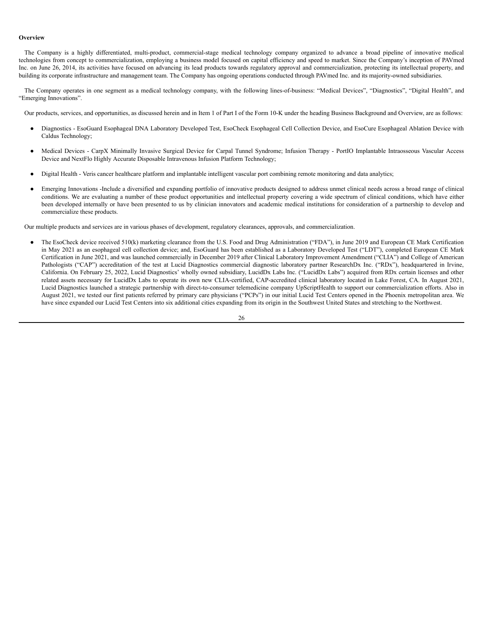### **Overview**

The Company is a highly differentiated, multi-product, commercial-stage medical technology company organized to advance a broad pipeline of innovative medical technologies from concept to commercialization, employing a business model focused on capital efficiency and speed to market. Since the Company's inception of PAVmed Inc. on June 26, 2014, its activities have focused on advancing its lead products towards regulatory approval and commercialization, protecting its intellectual property, and building its corporate infrastructure and management team. The Company has ongoing operations conducted through PAVmed Inc. and its majority-owned subsidiaries.

The Company operates in one segment as a medical technology company, with the following lines-of-business: "Medical Devices", "Diagnostics", "Digital Health", and "Emerging Innovations".

Our products, services, and opportunities, as discussed herein and in Item 1 of Part I of the Form 10-K under the heading Business Background and Overview, are as follows:

- Diagnostics EsoGuard Esophageal DNA Laboratory Developed Test, EsoCheck Esophageal Cell Collection Device, and EsoCure Esophageal Ablation Device with Caldus Technology;
- Medical Devices CarpX Minimally Invasive Surgical Device for Carpal Tunnel Syndrome; Infusion Therapy PortIO Implantable Intraosseous Vascular Access Device and NextFlo Highly Accurate Disposable Intravenous Infusion Platform Technology;
- Digital Health Veris cancer healthcare platform and implantable intelligent vascular port combining remote monitoring and data analytics;
- Emerging Innovations -Include a diversified and expanding portfolio of innovative products designed to address unmet clinical needs across a broad range of clinical conditions. We are evaluating a number of these product opportunities and intellectual property covering a wide spectrum of clinical conditions, which have either been developed internally or have been presented to us by clinician innovators and academic medical institutions for consideration of a partnership to develop and commercialize these products.

Our multiple products and services are in various phases of development, regulatory clearances, approvals, and commercialization.

The EsoCheck device received 510(k) marketing clearance from the U.S. Food and Drug Administration ("FDA"), in June 2019 and European CE Mark Certification in May 2021 as an esophageal cell collection device; and, EsoGuard has been established as a Laboratory Developed Test ("LDT"), completed European CE Mark Certification in June 2021, and was launched commercially in December 2019 after Clinical Laboratory Improvement Amendment ("CLIA") and College of American Pathologists ("CAP") accreditation of the test at Lucid Diagnostics commercial diagnostic laboratory partner ResearchDx Inc. ("RDx"), headquartered in Irvine, California. On February 25, 2022, Lucid Diagnostics' wholly owned subsidiary, LucidDx Labs Inc. ("LucidDx Labs") acquired from RDx certain licenses and other related assets necessary for LucidDx Labs to operate its own new CLIA-certified, CAP-accredited clinical laboratory located in Lake Forest, CA. In August 2021, Lucid Diagnostics launched a strategic partnership with direct-to-consumer telemedicine company UpScriptHealth to support our commercialization efforts. Also in August 2021, we tested our first patients referred by primary care physicians ("PCPs") in our initial Lucid Test Centers opened in the Phoenix metropolitan area. We have since expanded our Lucid Test Centers into six additional cities expanding from its origin in the Southwest United States and stretching to the Northwest.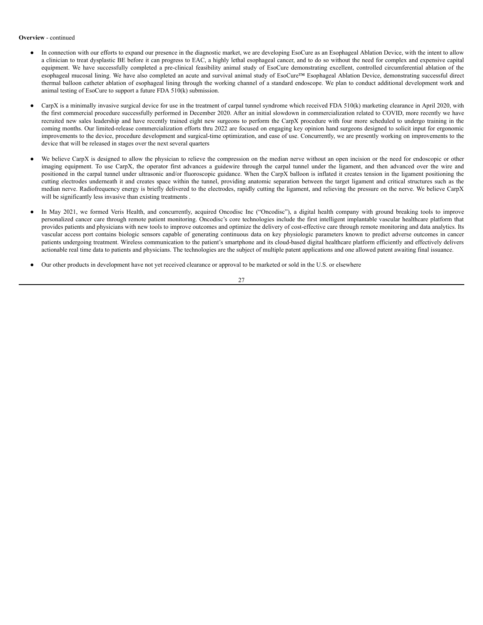### **Overview** - continued

- In connection with our efforts to expand our presence in the diagnostic market, we are developing EsoCure as an Esophageal Ablation Device, with the intent to allow a clinician to treat dysplastic BE before it can progress to EAC, a highly lethal esophageal cancer, and to do so without the need for complex and expensive capital equipment. We have successfully completed a pre-clinical feasibility animal study of EsoCure demonstrating excellent, controlled circumferential ablation of the esophageal mucosal lining. We have also completed an acute and survival animal study of EsoCure™ Esophageal Ablation Device, demonstrating successful direct thermal balloon catheter ablation of esophageal lining through the working channel of a standard endoscope. We plan to conduct additional development work and animal testing of EsoCure to support a future FDA 510(k) submission.
- CarpX is a minimally invasive surgical device for use in the treatment of carpal tunnel syndrome which received FDA 510(k) marketing clearance in April 2020, with the first commercial procedure successfully performed in December 2020. After an initial slowdown in commercialization related to COVID, more recently we have recruited new sales leadership and have recently trained eight new surgeons to perform the CarpX procedure with four more scheduled to undergo training in the coming months. Our limited-release commercialization efforts thru 2022 are focused on engaging key opinion hand surgeons designed to solicit input for ergonomic improvements to the device, procedure development and surgical-time optimization, and ease of use. Concurrently, we are presently working on improvements to the device that will be released in stages over the next several quarters
- We believe CarpX is designed to allow the physician to relieve the compression on the median nerve without an open incision or the need for endoscopic or other imaging equipment. To use CarpX, the operator first advances a guidewire through the carpal tunnel under the ligament, and then advanced over the wire and positioned in the carpal tunnel under ultrasonic and/or fluoroscopic guidance. When the CarpX balloon is inflated it creates tension in the ligament positioning the cutting electrodes underneath it and creates space within the tunnel, providing anatomic separation between the target ligament and critical structures such as the median nerve. Radiofrequency energy is briefly delivered to the electrodes, rapidly cutting the ligament, and relieving the pressure on the nerve. We believe CarpX will be significantly less invasive than existing treatments.
- In May 2021, we formed Veris Health, and concurrently, acquired Oncodisc Inc ("Oncodisc"), a digital health company with ground breaking tools to improve personalized cancer care through remote patient monitoring. Oncodisc's core technologies include the first intelligent implantable vascular healthcare platform that provides patients and physicians with new tools to improve outcomes and optimize the delivery of cost-effective care through remote monitoring and data analytics. Its vascular access port contains biologic sensors capable of generating continuous data on key physiologic parameters known to predict adverse outcomes in cancer patients undergoing treatment. Wireless communication to the patient's smartphone and its cloud-based digital healthcare platform efficiently and effectively delivers actionable real time data to patients and physicians. The technologies are the subject of multiple patent applications and one allowed patent awaiting final issuance.
- Our other products in development have not yet received clearance or approval to be marketed or sold in the U.S. or elsewhere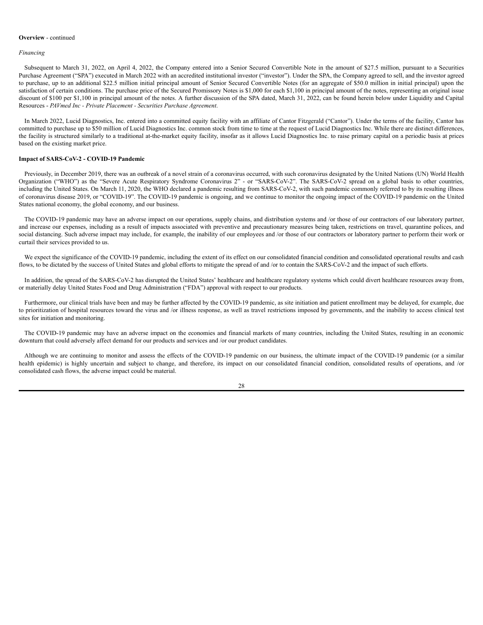### **Overview** - continued

### *Financing*

Subsequent to March 31, 2022, on April 4, 2022, the Company entered into a Senior Secured Convertible Note in the amount of \$27.5 million, pursuant to a Securities Purchase Agreement ("SPA") executed in March 2022 with an accredited institutional investor ("investor"). Under the SPA, the Company agreed to sell, and the investor agreed to purchase, up to an additional \$22.5 million initial principal amount of Senior Secured Convertible Notes (for an aggregate of \$50.0 million in initial principal) upon the satisfaction of certain conditions. The purchase price of the Secured Promissory Notes is \$1,000 for each \$1,100 in principal amount of the notes, representing an original issue discount of \$100 per \$1,100 in principal amount of the notes. A further discussion of the SPA dated, March 31, 2022, can be found herein below under Liquidity and Capital Resources - *PAVmed Inc - Private Placement - Securities Purchase Agreement*.

In March 2022, Lucid Diagnostics, Inc. entered into a committed equity facility with an affiliate of Cantor Fitzgerald ("Cantor"). Under the terms of the facility, Cantor has committed to purchase up to \$50 million of Lucid Diagnostics Inc. common stock from time to time at the request of Lucid Diagnostics Inc. While there are distinct differences, the facility is structured similarly to a traditional at-the-market equity facility, insofar as it allows Lucid Diagnostics Inc. to raise primary capital on a periodic basis at prices based on the existing market price.

### **Impact of SARS-CoV-2 - COVID-19 Pandemic**

Previously, in December 2019, there was an outbreak of a novel strain of a coronavirus occurred, with such coronavirus designated by the United Nations (UN) World Health Organization ("WHO") as the "Severe Acute Respiratory Syndrome Coronavirus 2" - or "SARS-CoV-2". The SARS-CoV-2 spread on a global basis to other countries, including the United States. On March 11, 2020, the WHO declared a pandemic resulting from SARS-CoV-2, with such pandemic commonly referred to by its resulting illness of coronavirus disease 2019, or "COVID-19". The COVID-19 pandemic is ongoing, and we continue to monitor the ongoing impact of the COVID-19 pandemic on the United States national economy, the global economy, and our business.

The COVID-19 pandemic may have an adverse impact on our operations, supply chains, and distribution systems and /or those of our contractors of our laboratory partner, and increase our expenses, including as a result of impacts associated with preventive and precautionary measures being taken, restrictions on travel, quarantine polices, and social distancing. Such adverse impact may include, for example, the inability of our employees and /or those of our contractors or laboratory partner to perform their work or curtail their services provided to us.

We expect the significance of the COVID-19 pandemic, including the extent of its effect on our consolidated financial condition and consolidated operational results and cash flows, to be dictated by the success of United States and global efforts to mitigate the spread of and /or to contain the SARS-CoV-2 and the impact of such efforts.

In addition, the spread of the SARS-CoV-2 has disrupted the United States' healthcare and healthcare regulatory systems which could divert healthcare resources away from, or materially delay United States Food and Drug Administration ("FDA") approval with respect to our products.

Furthermore, our clinical trials have been and may be further affected by the COVID-19 pandemic, as site initiation and patient enrollment may be delayed, for example, due to prioritization of hospital resources toward the virus and /or illness response, as well as travel restrictions imposed by governments, and the inability to access clinical test sites for initiation and monitoring.

The COVID-19 pandemic may have an adverse impact on the economies and financial markets of many countries, including the United States, resulting in an economic downturn that could adversely affect demand for our products and services and /or our product candidates.

Although we are continuing to monitor and assess the effects of the COVID-19 pandemic on our business, the ultimate impact of the COVID-19 pandemic (or a similar health epidemic) is highly uncertain and subject to change, and therefore, its impact on our consolidated financial condition, consolidated results of operations, and /or consolidated cash flows, the adverse impact could be material.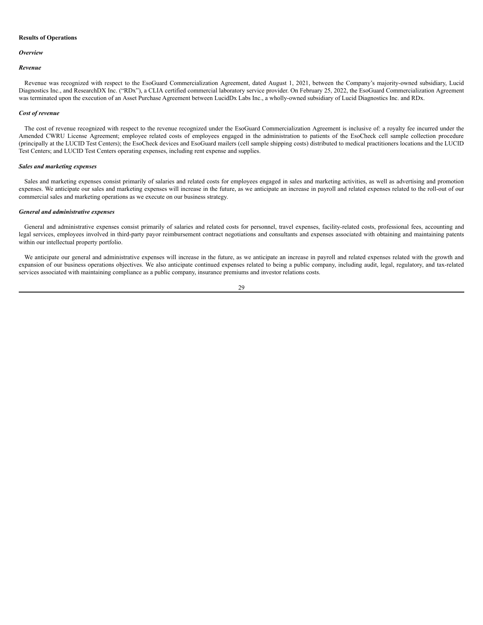### **Results of Operations**

### *Overview*

### *Revenue*

Revenue was recognized with respect to the EsoGuard Commercialization Agreement, dated August 1, 2021, between the Company's majority-owned subsidiary, Lucid Diagnostics Inc., and ResearchDX Inc. ("RDx"), a CLIA certified commercial laboratory service provider. On February 25, 2022, the EsoGuard Commercialization Agreement was terminated upon the execution of an Asset Purchase Agreement between LucidDx Labs Inc., a wholly-owned subsidiary of Lucid Diagnostics Inc. and RDx.

### *Cost of revenue*

The cost of revenue recognized with respect to the revenue recognized under the EsoGuard Commercialization Agreement is inclusive of: a royalty fee incurred under the Amended CWRU License Agreement; employee related costs of employees engaged in the administration to patients of the EsoCheck cell sample collection procedure (principally at the LUCID Test Centers); the EsoCheck devices and EsoGuard mailers (cell sample shipping costs) distributed to medical practitioners locations and the LUCID Test Centers; and LUCID Test Centers operating expenses, including rent expense and supplies.

#### *Sales and marketing expenses*

Sales and marketing expenses consist primarily of salaries and related costs for employees engaged in sales and marketing activities, as well as advertising and promotion expenses. We anticipate our sales and marketing expenses will increase in the future, as we anticipate an increase in payroll and related expenses related to the roll-out of our commercial sales and marketing operations as we execute on our business strategy.

### *General and administrative expenses*

General and administrative expenses consist primarily of salaries and related costs for personnel, travel expenses, facility-related costs, professional fees, accounting and legal services, employees involved in third-party payor reimbursement contract negotiations and consultants and expenses associated with obtaining and maintaining patents within our intellectual property portfolio.

We anticipate our general and administrative expenses will increase in the future, as we anticipate an increase in payroll and related expenses related with the growth and expansion of our business operations objectives. We also anticipate continued expenses related to being a public company, including audit, legal, regulatory, and tax-related services associated with maintaining compliance as a public company, insurance premiums and investor relations costs.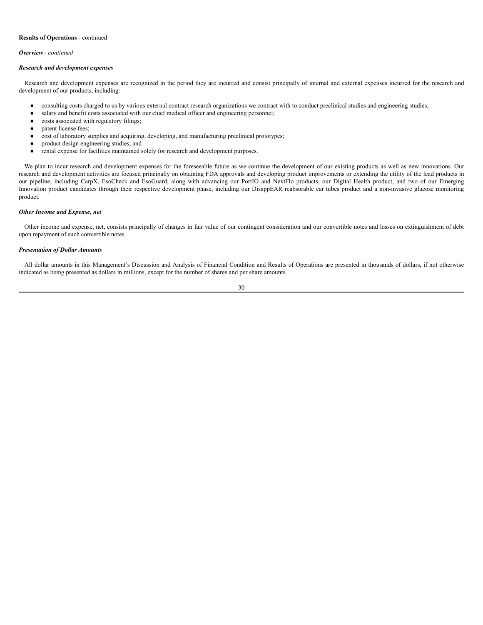### **Results of Operations** - continued

### *Overview - continued*

#### *Research and development expenses*

Research and development expenses are recognized in the period they are incurred and consist principally of internal and external expenses incurred for the research and development of our products, including:

- consulting costs charged to us by various external contract research organizations we contract with to conduct preclinical studies and engineering studies;
- salary and benefit costs associated with our chief medical officer and engineering personnel;
- costs associated with regulatory filings;
- patent license fees;
- cost of laboratory supplies and acquiring, developing, and manufacturing preclinical prototypes;
- product design engineering studies; and
- rental expense for facilities maintained solely for research and development purposes.

We plan to incur research and development expenses for the foreseeable future as we continue the development of our existing products as well as new innovations. Our research and development activities are focused principally on obtaining FDA approvals and developing product improvements or extending the utility of the lead products in our pipeline, including CarpX, EsoCheck and EsoGuard, along with advancing our PortIO and NextFlo products, our Digital Health product, and two of our Emerging Innovation product candidates through their respective development phase, including our DisappEAR reabsorable ear tubes product and a non-invasive glucose monitoring product.

### *Other Income and Expense, net*

Other income and expense, net, consists principally of changes in fair value of our contingent consideration and our convertible notes and losses on extinguishment of debt upon repayment of such convertible notes.

#### *Presentation of Dollar Amounts*

All dollar amounts in this Management's Discussion and Analysis of Financial Condition and Results of Operations are presented in thousands of dollars, if not otherwise indicated as being presented as dollars in millions, except for the number of shares and per share amounts.

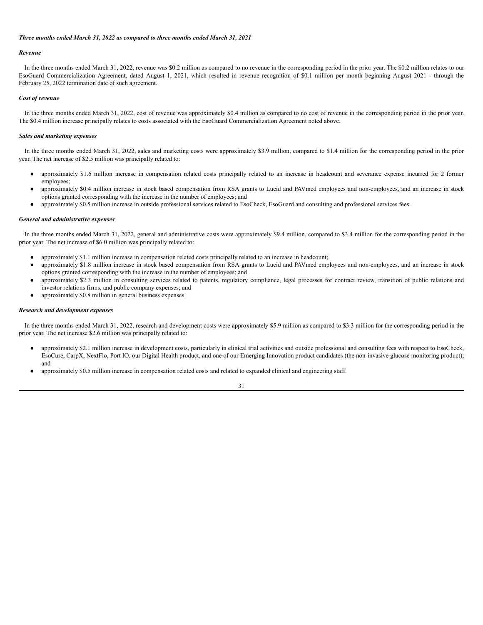### *Three months ended March 31, 2022 as compared to three months ended March 31, 2021*

#### *Revenue*

In the three months ended March 31, 2022, revenue was \$0.2 million as compared to no revenue in the corresponding period in the prior year. The \$0.2 million relates to our EsoGuard Commercialization Agreement, dated August 1, 2021, which resulted in revenue recognition of \$0.1 million per month beginning August 2021 - through the February 25, 2022 termination date of such agreement.

### *Cost of revenue*

In the three months ended March 31, 2022, cost of revenue was approximately \$0.4 million as compared to no cost of revenue in the corresponding period in the prior year. The \$0.4 million increase principally relates to costs associated with the EsoGuard Commercialization Agreement noted above.

### *Sales and marketing expenses*

In the three months ended March 31, 2022, sales and marketing costs were approximately \$3.9 million, compared to \$1.4 million for the corresponding period in the prior year. The net increase of \$2.5 million was principally related to:

- approximately \$1.6 million increase in compensation related costs principally related to an increase in headcount and severance expense incurred for 2 former employees;
- approximately \$0.4 million increase in stock based compensation from RSA grants to Lucid and PAVmed employees and non-employees, and an increase in stock options granted corresponding with the increase in the number of employees; and
- approximately \$0.5 million increase in outside professional services related to EsoCheck, EsoGuard and consulting and professional services fees.

#### *General and administrative expenses*

In the three months ended March 31, 2022, general and administrative costs were approximately \$9.4 million, compared to \$3.4 million for the corresponding period in the prior year. The net increase of \$6.0 million was principally related to:

- approximately \$1.1 million increase in compensation related costs principally related to an increase in headcount;
- approximately \$1.8 million increase in stock based compensation from RSA grants to Lucid and PAVmed employees and non-employees, and an increase in stock options granted corresponding with the increase in the number of employees; and
- approximately \$2.3 million in consulting services related to patents, regulatory compliance, legal processes for contract review, transition of public relations and investor relations firms, and public company expenses; and
- approximately \$0.8 million in general business expenses.

#### *Research and development expenses*

In the three months ended March 31, 2022, research and development costs were approximately \$5.9 million as compared to \$3.3 million for the corresponding period in the prior year. The net increase \$2.6 million was principally related to:

- approximately \$2.1 million increase in development costs, particularly in clinical trial activities and outside professional and consulting fees with respect to EsoCheck, EsoCure, CarpX, NextFlo, Port IO, our Digital Health product, and one of our Emerging Innovation product candidates (the non-invasive glucose monitoring product); and
- approximately \$0.5 million increase in compensation related costs and related to expanded clinical and engineering staff.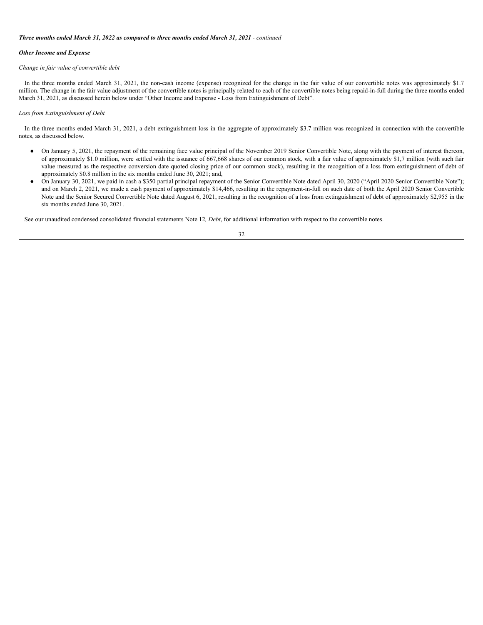### *Three months ended March 31, 2022 as compared to three months ended March 31, 2021 - continued*

### *Other Income and Expense*

#### *Change in fair value of convertible debt*

In the three months ended March 31, 2021, the non-cash income (expense) recognized for the change in the fair value of our convertible notes was approximately \$1.7 million. The change in the fair value adjustment of the convertible notes is principally related to each of the convertible notes being repaid-in-full during the three months ended March 31, 2021, as discussed herein below under "Other Income and Expense - Loss from Extinguishment of Debt".

### *Loss from Extinguishment of Debt*

In the three months ended March 31, 2021, a debt extinguishment loss in the aggregate of approximately \$3.7 million was recognized in connection with the convertible notes, as discussed below.

- On January 5, 2021, the repayment of the remaining face value principal of the November 2019 Senior Convertible Note, along with the payment of interest thereon, of approximately \$1.0 million, were settled with the issuance of 667,668 shares of our common stock, with a fair value of approximately \$1,7 million (with such fair value measured as the respective conversion date quoted closing price of our common stock), resulting in the recognition of a loss from extinguishment of debt of approximately \$0.8 million in the six months ended June 30, 2021; and,
- On January 30, 2021, we paid in cash a \$350 partial principal repayment of the Senior Convertible Note dated April 30, 2020 ("April 2020 Senior Convertible Note"); and on March 2, 2021, we made a cash payment of approximately \$14,466, resulting in the repayment-in-full on such date of both the April 2020 Senior Convertible Note and the Senior Secured Convertible Note dated August 6, 2021, resulting in the recognition of a loss from extinguishment of debt of approximately \$2,955 in the six months ended June 30, 2021.

See our unaudited condensed consolidated financial statements Note 12*, Debt*, for additional information with respect to the convertible notes.

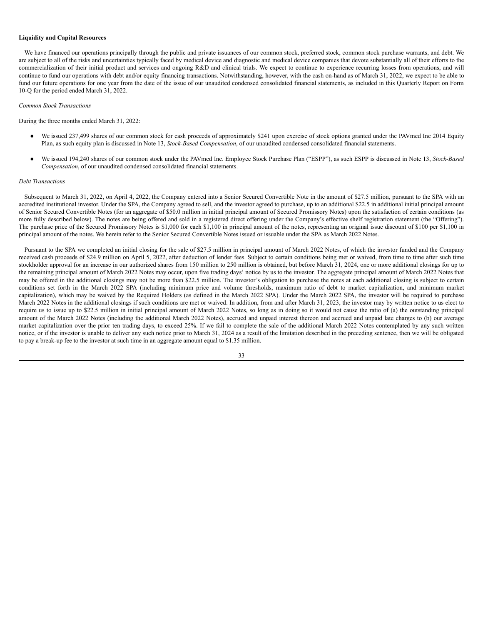### **Liquidity and Capital Resources**

We have financed our operations principally through the public and private issuances of our common stock, preferred stock, common stock purchase warrants, and debt. We are subject to all of the risks and uncertainties typically faced by medical device and diagnostic and medical device companies that devote substantially all of their efforts to the commercialization of their initial product and services and ongoing R&D and clinical trials. We expect to continue to experience recurring losses from operations, and will continue to fund our operations with debt and/or equity financing transactions. Notwithstanding, however, with the cash on-hand as of March 31, 2022, we expect to be able to fund our future operations for one year from the date of the issue of our unaudited condensed consolidated financial statements, as included in this Quarterly Report on Form 10-Q for the period ended March 31, 2022.

### *Common Stock Transactions*

During the three months ended March 31, 2022:

- We issued 237,499 shares of our common stock for cash proceeds of approximately \$241 upon exercise of stock options granted under the PAVmed Inc 2014 Equity Plan, as such equity plan is discussed in Note 13, *Stock-Based Compensation*, of our unaudited condensed consolidated financial statements.
- We issued 194,240 shares of our common stock under the PAVmed Inc. Employee Stock Purchase Plan ("ESPP"), as such ESPP is discussed in Note 13, *Stock-Based Compensation*, of our unaudited condensed consolidated financial statements.

#### *Debt Transactions*

Subsequent to March 31, 2022, on April 4, 2022, the Company entered into a Senior Secured Convertible Note in the amount of \$27.5 million, pursuant to the SPA with an accredited institutional investor. Under the SPA, the Company agreed to sell, and the investor agreed to purchase, up to an additional \$22.5 in additional initial principal amount of Senior Secured Convertible Notes (for an aggregate of \$50.0 million in initial principal amount of Secured Promissory Notes) upon the satisfaction of certain conditions (as more fully described below). The notes are being offered and sold in a registered direct offering under the Company's effective shelf registration statement (the "Offering"). The purchase price of the Secured Promissory Notes is \$1,000 for each \$1,100 in principal amount of the notes, representing an original issue discount of \$100 per \$1,100 in principal amount of the notes. We herein refer to the Senior Secured Convertible Notes issued or issuable under the SPA as March 2022 Notes.

Pursuant to the SPA we completed an initial closing for the sale of \$27.5 million in principal amount of March 2022 Notes, of which the investor funded and the Company received cash proceeds of \$24.9 million on April 5, 2022, after deduction of lender fees. Subject to certain conditions being met or waived, from time to time after such time stockholder approval for an increase in our authorized shares from 150 million to 250 million is obtained, but before March 31, 2024, one or more additional closings for up to the remaining principal amount of March 2022 Notes may occur, upon five trading days' notice by us to the investor. The aggregate principal amount of March 2022 Notes that may be offered in the additional closings may not be more than \$22.5 million. The investor's obligation to purchase the notes at each additional closing is subject to certain conditions set forth in the March 2022 SPA (including minimum price and volume thresholds, maximum ratio of debt to market capitalization, and minimum market capitalization), which may be waived by the Required Holders (as defined in the March 2022 SPA). Under the March 2022 SPA, the investor will be required to purchase March 2022 Notes in the additional closings if such conditions are met or waived. In addition, from and after March 31, 2023, the investor may by written notice to us elect to require us to issue up to \$22.5 million in initial principal amount of March 2022 Notes, so long as in doing so it would not cause the ratio of (a) the outstanding principal amount of the March 2022 Notes (including the additional March 2022 Notes), accrued and unpaid interest thereon and accrued and unpaid late charges to (b) our average market capitalization over the prior ten trading days, to exceed 25%. If we fail to complete the sale of the additional March 2022 Notes contemplated by any such written notice, or if the investor is unable to deliver any such notice prior to March 31, 2024 as a result of the limitation described in the preceding sentence, then we will be obligated to pay a break-up fee to the investor at such time in an aggregate amount equal to \$1.35 million.

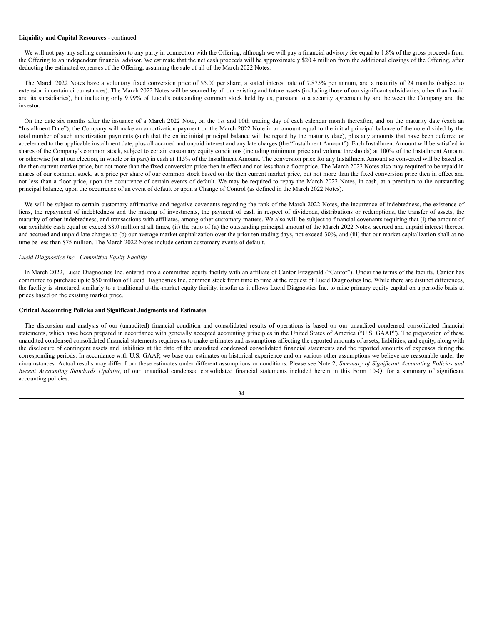### **Liquidity and Capital Resources** - continued

We will not pay any selling commission to any party in connection with the Offering, although we will pay a financial advisory fee equal to 1.8% of the gross proceeds from the Offering to an independent financial advisor. We estimate that the net cash proceeds will be approximately \$20.4 million from the additional closings of the Offering, after deducting the estimated expenses of the Offering, assuming the sale of all of the March 2022 Notes.

The March 2022 Notes have a voluntary fixed conversion price of \$5.00 per share, a stated interest rate of 7.875% per annum, and a maturity of 24 months (subject to extension in certain circumstances). The March 2022 Notes will be secured by all our existing and future assets (including those of our significant subsidiaries, other than Lucid and its subsidiaries), but including only 9.99% of Lucid's outstanding common stock held by us, pursuant to a security agreement by and between the Company and the investor.

On the date six months after the issuance of a March 2022 Note, on the 1st and 10th trading day of each calendar month thereafter, and on the maturity date (each an "Installment Date"), the Company will make an amortization payment on the March 2022 Note in an amount equal to the initial principal balance of the note divided by the total number of such amortization payments (such that the entire initial principal balance will be repaid by the maturity date), plus any amounts that have been deferred or accelerated to the applicable installment date, plus all accrued and unpaid interest and any late charges (the "Installment Amount"). Each Installment Amount will be satisfied in shares of the Company's common stock, subject to certain customary equity conditions (including minimum price and volume thresholds) at 100% of the Installment Amount or otherwise (or at our election, in whole or in part) in cash at 115% of the Installment Amount. The conversion price for any Installment Amount so converted will be based on the then current market price, but not more than the fixed conversion price then in effect and not less than a floor price. The March 2022 Notes also may required to be repaid in shares of our common stock, at a price per share of our common stock based on the then current market price, but not more than the fixed conversion price then in effect and not less than a floor price, upon the occurrence of certain events of default. We may be required to repay the March 2022 Notes, in cash, at a premium to the outstanding principal balance, upon the occurrence of an event of default or upon a Change of Control (as defined in the March 2022 Notes).

We will be subject to certain customary affirmative and negative covenants regarding the rank of the March 2022 Notes, the incurrence of indebtedness, the existence of liens, the repayment of indebtedness and the making of investments, the payment of cash in respect of dividends, distributions or redemptions, the transfer of assets, the maturity of other indebtedness, and transactions with affiliates, among other customary matters. We also will be subject to financial covenants requiring that (i) the amount of our available cash equal or exceed \$8.0 million at all times, (ii) the ratio of (a) the outstanding principal amount of the March 2022 Notes, accrued and unpaid interest thereon and accrued and unpaid late charges to (b) our average market capitalization over the prior ten trading days, not exceed 30%, and (iii) that our market capitalization shall at no time be less than \$75 million. The March 2022 Notes include certain customary events of default.

#### *Lucid Diagnostics Inc - Committed Equity Facility*

In March 2022, Lucid Diagnostics Inc. entered into a committed equity facility with an affiliate of Cantor Fitzgerald ("Cantor"). Under the terms of the facility, Cantor has committed to purchase up to \$50 million of Lucid Diagnostics Inc. common stock from time to time at the request of Lucid Diagnostics Inc. While there are distinct differences, the facility is structured similarly to a traditional at-the-market equity facility, insofar as it allows Lucid Diagnostics Inc. to raise primary equity capital on a periodic basis at prices based on the existing market price.

### **Critical Accounting Policies and Significant Judgments and Estimates**

The discussion and analysis of our (unaudited) financial condition and consolidated results of operations is based on our unaudited condensed consolidated financial statements, which have been prepared in accordance with generally accepted accounting principles in the United States of America ("U.S. GAAP"). The preparation of these unaudited condensed consolidated financial statements requires us to make estimates and assumptions affecting the reported amounts of assets, liabilities, and equity, along with the disclosure of contingent assets and liabilities at the date of the unaudited condensed consolidated financial statements and the reported amounts of expenses during the corresponding periods. In accordance with U.S. GAAP, we base our estimates on historical experience and on various other assumptions we believe are reasonable under the circumstances. Actual results may differ from these estimates under different assumptions or conditions. Please see Note 2, *Summary of Significant Accounting Policies and Recent Accounting Standards Updates*, of our unaudited condensed consolidated financial statements included herein in this Form 10-Q, for a summary of significant accounting policies.

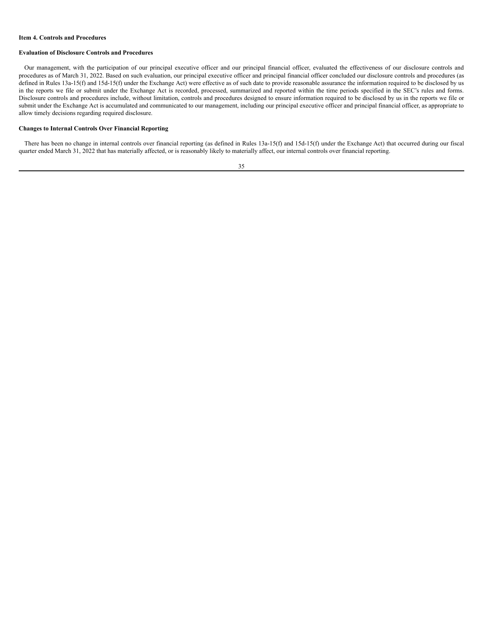### <span id="page-36-0"></span>**Item 4. Controls and Procedures**

### **Evaluation of Disclosure Controls and Procedures**

Our management, with the participation of our principal executive officer and our principal financial officer, evaluated the effectiveness of our disclosure controls and procedures as of March 31, 2022. Based on such evaluation, our principal executive officer and principal financial officer concluded our disclosure controls and procedures (as defined in Rules 13a-15(f) and 15d-15(f) under the Exchange Act) were effective as of such date to provide reasonable assurance the information required to be disclosed by us in the reports we file or submit under the Exchange Act is recorded, processed, summarized and reported within the time periods specified in the SEC's rules and forms. Disclosure controls and procedures include, without limitation, controls and procedures designed to ensure information required to be disclosed by us in the reports we file or submit under the Exchange Act is accumulated and communicated to our management, including our principal executive officer and principal financial officer, as appropriate to allow timely decisions regarding required disclosure.

### **Changes to Internal Controls Over Financial Reporting**

There has been no change in internal controls over financial reporting (as defined in Rules 13a-15(f) and 15d-15(f) under the Exchange Act) that occurred during our fiscal quarter ended March 31, 2022 that has materially affected, or is reasonably likely to materially affect, our internal controls over financial reporting.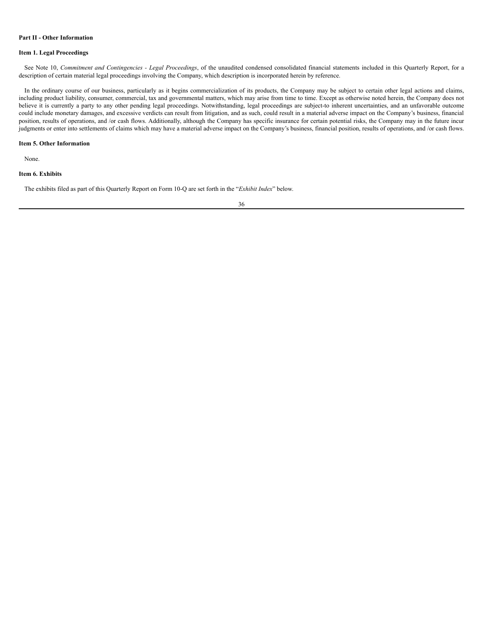### <span id="page-37-0"></span>**Part II - Other Information**

### <span id="page-37-1"></span>**Item 1. Legal Proceedings**

See Note 10, *Commitment and Contingencies - Legal Proceedings*, of the unaudited condensed consolidated financial statements included in this Quarterly Report, for a description of certain material legal proceedings involving the Company, which description is incorporated herein by reference.

In the ordinary course of our business, particularly as it begins commercialization of its products, the Company may be subject to certain other legal actions and claims, including product liability, consumer, commercial, tax and governmental matters, which may arise from time to time. Except as otherwise noted herein, the Company does not believe it is currently a party to any other pending legal proceedings. Notwithstanding, legal proceedings are subject-to inherent uncertainties, and an unfavorable outcome could include monetary damages, and excessive verdicts can result from litigation, and as such, could result in a material adverse impact on the Company's business, financial position, results of operations, and /or cash flows. Additionally, although the Company has specific insurance for certain potential risks, the Company may in the future incur judgments or enter into settlements of claims which may have a material adverse impact on the Company's business, financial position, results of operations, and /or cash flows.

### <span id="page-37-2"></span>**Item 5. Other Information**

None.

<span id="page-37-3"></span>**Item 6. Exhibits**

The exhibits filed as part of this Quarterly Report on Form 10-Q are set forth in the "*Exhibit Index*" below.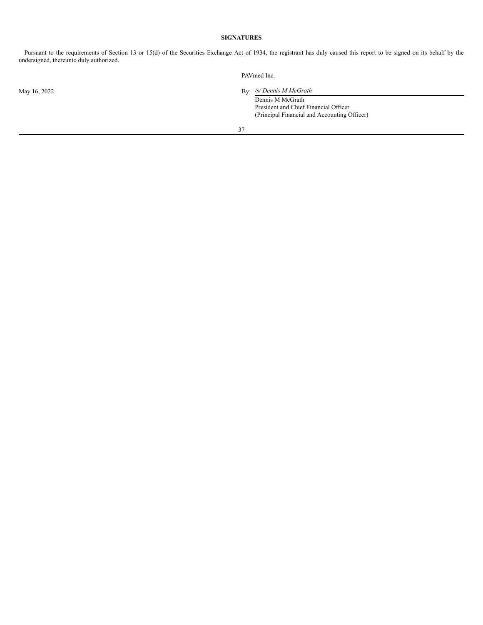### **SIGNATURES**

<span id="page-38-0"></span>Pursuant to the requirements of Section 13 or 15(d) of the Securities Exchange Act of 1934, the registrant has duly caused this report to be signed on its behalf by the undersigned, thereunto duly authorized.

May 16, 2022

PAVmed Inc.

*/s/ Dennis M McGrath* Dennis M McGrath President and Chief Financial Officer (Principal Financial and Accounting Officer)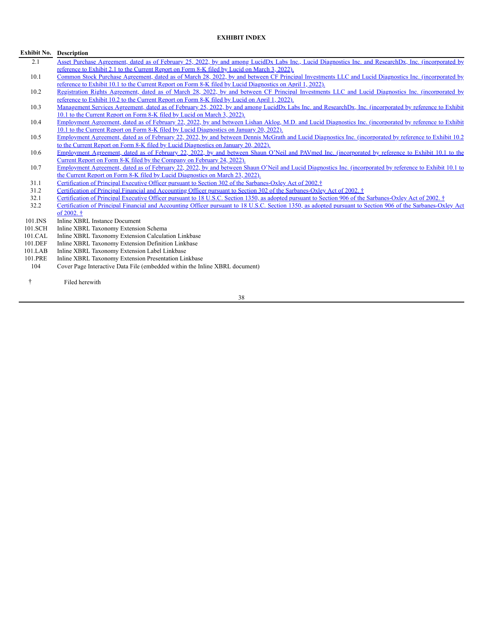### **EXHIBIT INDEX**

#### <span id="page-39-0"></span>**Exhibit No. Description**

- 2.1 Asset Purchase Agreement, dated as of February 25, 2022, by and among LucidDx Labs Inc., Lucid Diagnostics Inc. and ResearchDx, Inc. [\(incorporated](https://www.sec.gov/Archives/edgar/data/1799011/000149315222005892/ex2-1.htm) by reference to Exhibit 2.1 to the Current Report on Form 8-K filed by Lucid on March 3, 2022).
- 10.1 Common Stock Purchase Agreement, dated as of March 28, 2022, by and between CF Principal Investments LLC and Lucid Diagnostics Inc. [\(incorporated](https://www.sec.gov/Archives/edgar/data/1799011/000149315222008837/ex10-1.htm) by reference to Exhibit 10.1 to the Current Report on Form 8-K filed by Lucid Diagnostics on April 1, 2022).
- 10.2 Registration Rights Agreement, dated as of March 28, 2022, by and between CF Principal Investments LLC and Lucid Diagnostics Inc. [\(incorporated](https://www.sec.gov/Archives/edgar/data/1799011/000149315222008837/ex10-2.htm) by reference to Exhibit 10.2 to the Current Report on Form 8-K filed by Lucid on April 1, 2022).
- 10.3 Management Services Agreement, dated as of February 25, 2022, by and among LucidDx Labs Inc. and ResearchDx, Inc. [\(incorporated](https://www.sec.gov/Archives/edgar/data/1799011/000149315222005892/ex10-1.htm) by reference to Exhibit 10.1 to the Current Report on Form 8-K filed by Lucid on March 3, 2022).
- 10.4 Employment Agreement, dated as of February 22, 2022, by and between Lishan Aklog, M.D. and Lucid Diagnostics Inc. [\(incorporated](https://www.sec.gov/Archives/edgar/data/1799011/000149315222001725/ex10-1.htm) by reference to Exhibit 10.1 to the Current Report on Form 8-K filed by Lucid Diagnostics on January 20, 2022).
- 10.5 Employment Agreement, dated as of February 22, 2022, by and between Dennis McGrath and Lucid Diagnostics Inc. [\(incorporated](https://www.sec.gov/Archives/edgar/data/1799011/000149315222001725/ex10-2.htm) by reference to Exhibit 10.2) to the Current Report on Form 8-K filed by Lucid Diagnostics on January 20, 2022).
- 10.6 Employment Agreement, dated as of February 22, 2022, by and between Shaun O'Neil and PAVmed Inc. [\(incorporated](https://www.sec.gov/Archives/edgar/data/1624326/000149315222005399/ex10-1.htm) by reference to Exhibit 10.1 to the Current Report on Form 8-K filed by the Company on February 24, 2022).
- 10.7 Employment Agreement, dated as of February 22, 2022, by and between Shaun O'Neil and Lucid Diagnostics Inc. [\(incorporated](https://www.sec.gov/Archives/edgar/data/1799011/000149315222007547/ex10-1.htm) by reference to Exhibit 10.1 to the Current Report on Form 8-K filed by Lucid Diagnostics on March 23, 2022).
- 31.1 Certification of Principal Executive Officer pursuant to Section 302 of the [Sarbanes-Oxley](https://s3.amazonaws.com/content.stockpr.com/sec/0001493152-22-013965/ex31-1.htm) Act of 2002.†
- 31.2 Certification of Principal Financial and Accounting Officer pursuant to Section 302 of the [Sarbanes-Oxley](https://s3.amazonaws.com/content.stockpr.com/sec/0001493152-22-013965/ex31-2.htm) Act of 2002. †
- 32.1 Certification of Principal Executive Officer pursuant to 18 U.S.C. Section 1350, as adopted pursuant to Section 906 of the [Sarbanes-Oxley](https://s3.amazonaws.com/content.stockpr.com/sec/0001493152-22-013965/ex32-1.htm) Act of 2002. †
- 32.2 Certification of Principal Financial and Accounting Officer pursuant to 18 U.S.C. Section 1350, as adopted pursuant to Section 906 of the [Sarbanes-Oxley](https://s3.amazonaws.com/content.stockpr.com/sec/0001493152-22-013965/ex32-2.htm) Act of 2002. †
- 101.INS Inline XBRL Instance Document
- 101.SCH Inline XBRL Taxonomy Extension Schema
- 101.CAL Inline XBRL Taxonomy Extension Calculation Linkbase
- 101.DEF Inline XBRL Taxonomy Extension Definition Linkbase
- 101.LAB Inline XBRL Taxonomy Extension Label Linkbase
- 101.PRE Inline XBRL Taxonomy Extension Presentation Linkbase
- 104 Cover Page Interactive Data File (embedded within the Inline XBRL document)
- † Filed herewith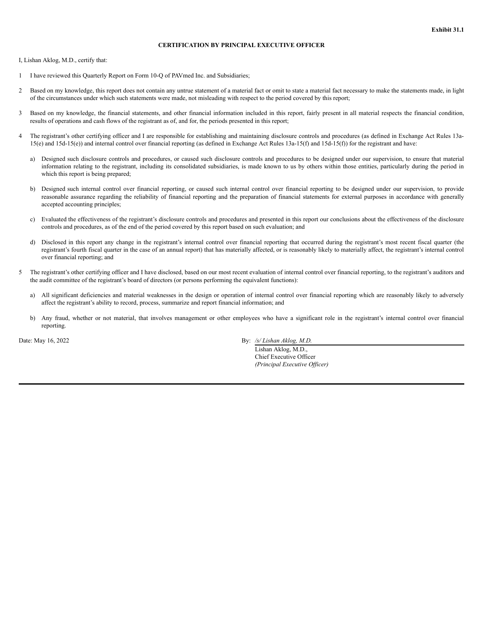### **CERTIFICATION BY PRINCIPAL EXECUTIVE OFFICER**

I, Lishan Aklog, M.D., certify that:

- 1 I have reviewed this Quarterly Report on Form 10-Q of PAVmed Inc. and Subsidiaries;
- 2 Based on my knowledge, this report does not contain any untrue statement of a material fact or omit to state a material fact necessary to make the statements made, in light of the circumstances under which such statements were made, not misleading with respect to the period covered by this report;
- 3 Based on my knowledge, the financial statements, and other financial information included in this report, fairly present in all material respects the financial condition, results of operations and cash flows of the registrant as of, and for, the periods presented in this report;
- 4 The registrant's other certifying officer and I are responsible for establishing and maintaining disclosure controls and procedures (as defined in Exchange Act Rules 13a-15(e) and 15d-15(e)) and internal control over financial reporting (as defined in Exchange Act Rules 13a-15(f) and 15d-15(f)) for the registrant and have:
	- a) Designed such disclosure controls and procedures, or caused such disclosure controls and procedures to be designed under our supervision, to ensure that material information relating to the registrant, including its consolidated subsidiaries, is made known to us by others within those entities, particularly during the period in which this report is being prepared;
	- b) Designed such internal control over financial reporting, or caused such internal control over financial reporting to be designed under our supervision, to provide reasonable assurance regarding the reliability of financial reporting and the preparation of financial statements for external purposes in accordance with generally accepted accounting principles;
	- c) Evaluated the effectiveness of the registrant's disclosure controls and procedures and presented in this report our conclusions about the effectiveness of the disclosure controls and procedures, as of the end of the period covered by this report based on such evaluation; and
	- d) Disclosed in this report any change in the registrant's internal control over financial reporting that occurred during the registrant's most recent fiscal quarter (the registrant's fourth fiscal quarter in the case of an annual report) that has materially affected, or is reasonably likely to materially affect, the registrant's internal control over financial reporting; and
- 5 The registrant's other certifying officer and I have disclosed, based on our most recent evaluation of internal control over financial reporting, to the registrant's auditors and the audit committee of the registrant's board of directors (or persons performing the equivalent functions):
	- All significant deficiencies and material weaknesses in the design or operation of internal control over financial reporting which are reasonably likely to adversely affect the registrant's ability to record, process, summarize and report financial information; and
	- b) Any fraud, whether or not material, that involves management or other employees who have a significant role in the registrant's internal control over financial reporting.

Date: May 16, 2022 By: */s/ Lishan Aklog, M.D.*

Lishan Aklog, M.D., Chief Executive Officer *(Principal Executive Of icer)*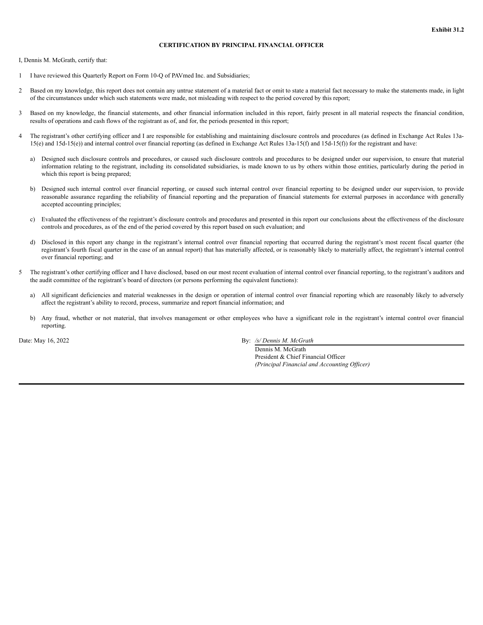### **CERTIFICATION BY PRINCIPAL FINANCIAL OFFICER**

I, Dennis M. McGrath, certify that:

- 1 I have reviewed this Quarterly Report on Form 10-Q of PAVmed Inc. and Subsidiaries;
- 2 Based on my knowledge, this report does not contain any untrue statement of a material fact or omit to state a material fact necessary to make the statements made, in light of the circumstances under which such statements were made, not misleading with respect to the period covered by this report;
- 3 Based on my knowledge, the financial statements, and other financial information included in this report, fairly present in all material respects the financial condition, results of operations and cash flows of the registrant as of, and for, the periods presented in this report;
- 4 The registrant's other certifying officer and I are responsible for establishing and maintaining disclosure controls and procedures (as defined in Exchange Act Rules 13a-15(e) and 15d-15(e)) and internal control over financial reporting (as defined in Exchange Act Rules 13a-15(f) and 15d-15(f)) for the registrant and have:
	- a) Designed such disclosure controls and procedures, or caused such disclosure controls and procedures to be designed under our supervision, to ensure that material information relating to the registrant, including its consolidated subsidiaries, is made known to us by others within those entities, particularly during the period in which this report is being prepared;
	- b) Designed such internal control over financial reporting, or caused such internal control over financial reporting to be designed under our supervision, to provide reasonable assurance regarding the reliability of financial reporting and the preparation of financial statements for external purposes in accordance with generally accepted accounting principles;
	- c) Evaluated the effectiveness of the registrant's disclosure controls and procedures and presented in this report our conclusions about the effectiveness of the disclosure controls and procedures, as of the end of the period covered by this report based on such evaluation; and
	- d) Disclosed in this report any change in the registrant's internal control over financial reporting that occurred during the registrant's most recent fiscal quarter (the registrant's fourth fiscal quarter in the case of an annual report) that has materially affected, or is reasonably likely to materially affect, the registrant's internal control over financial reporting; and
- 5 The registrant's other certifying officer and I have disclosed, based on our most recent evaluation of internal control over financial reporting, to the registrant's auditors and the audit committee of the registrant's board of directors (or persons performing the equivalent functions):
	- All significant deficiencies and material weaknesses in the design or operation of internal control over financial reporting which are reasonably likely to adversely affect the registrant's ability to record, process, summarize and report financial information; and
	- b) Any fraud, whether or not material, that involves management or other employees who have a significant role in the registrant's internal control over financial reporting.

Date: May 16, 2022 By: */s/ Dennis M. McGrath*

Dennis M. McGrath President & Chief Financial Officer *(Principal Financial and Accounting Of icer)*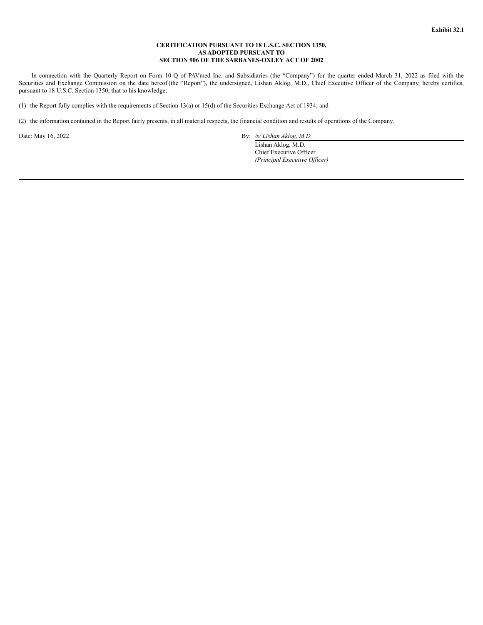### **CERTIFICATION PURSUANT TO 18 U.S.C. SECTION 1350, AS ADOPTED PURSUANT TO SECTION 906 OF THE SARBANES-OXLEY ACT OF 2002**

In connection with the Quarterly Report on Form 10-Q of PAVmed Inc. and Subsidiaries (the "Company") for the quarter ended March 31, 2022 as filed with the Securities and Exchange Commission on the date hereof (the "Report"), the undersigned, Lishan Aklog, M.D., Chief Executive Officer of the Company, hereby certifies, pursuant to 18 U.S.C. Section 1350, that to his knowledge:

(1) the Report fully complies with the requirements of Section 13(a) or 15(d) of the Securities Exchange Act of 1934; and

(2) the information contained in the Report fairly presents, in all material respects, the financial condition and results of operations of the Company.

Date: May 16, 2022 By: */s/ Lishan Aklog, M.D.*

Lishan Aklog, M.D. Chief Executive Officer *(Principal Executive Of icer)*